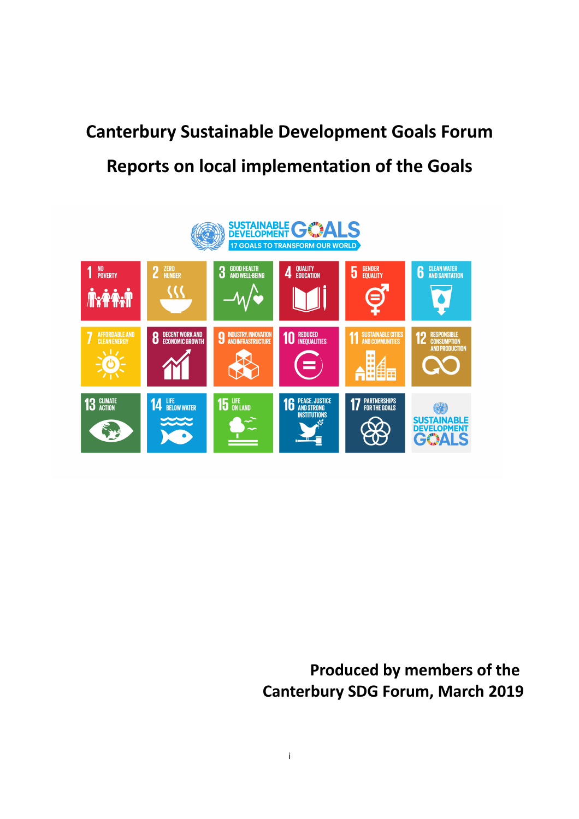# **Canterbury Sustainable Development Goals Forum Reports on local implementation of the Goals**



# **Produced by members of the Canterbury SDG Forum, March 2019**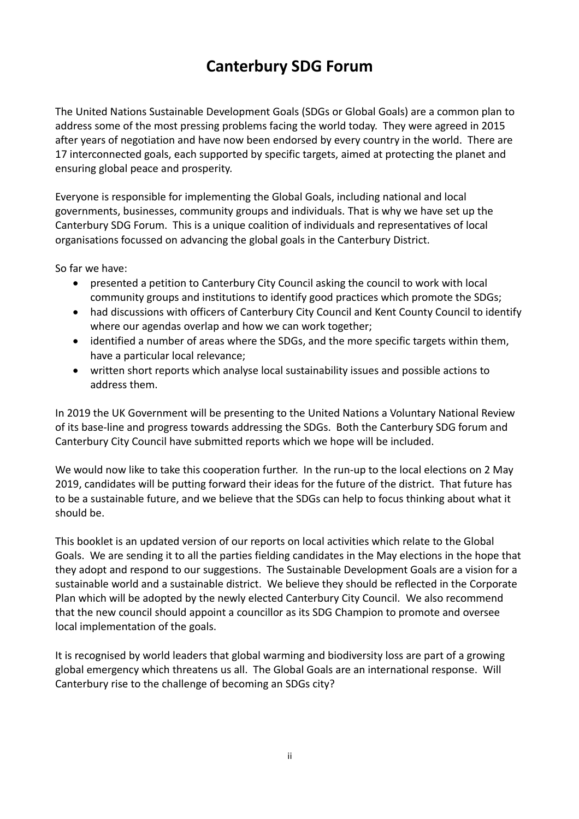# **Canterbury SDG Forum**

The United Nations Sustainable Development Goals (SDGs or Global Goals) are a common plan to address some of the most pressing problems facing the world today. They were agreed in 2015 after years of negotiation and have now been endorsed by every country in the world. There are 17 interconnected goals, each supported by specific targets, aimed at protecting the planet and ensuring global peace and prosperity.

Everyone is responsible for implementing the Global Goals, including national and local governments, businesses, community groups and individuals. That is why we have set up the Canterbury SDG Forum. This is a unique coalition of individuals and representatives of local organisations focussed on advancing the global goals in the Canterbury District.

So far we have:

- presented a petition to Canterbury City Council asking the council to work with local community groups and institutions to identify good practices which promote the SDGs;
- had discussions with officers of Canterbury City Council and Kent County Council to identify where our agendas overlap and how we can work together;
- identified a number of areas where the SDGs, and the more specific targets within them, have a particular local relevance;
- written short reports which analyse local sustainability issues and possible actions to address them.

In 2019 the UK Government will be presenting to the United Nations a Voluntary National Review of its base-line and progress towards addressing the SDGs. Both the Canterbury SDG forum and Canterbury City Council have submitted reports which we hope will be included.

We would now like to take this cooperation further. In the run-up to the local elections on 2 May 2019, candidates will be putting forward their ideas for the future of the district. That future has to be a sustainable future, and we believe that the SDGs can help to focus thinking about what it should be.

This booklet is an updated version of our reports on local activities which relate to the Global Goals. We are sending it to all the parties fielding candidates in the May elections in the hope that they adopt and respond to our suggestions. The Sustainable Development Goals are a vision for a sustainable world and a sustainable district. We believe they should be reflected in the Corporate Plan which will be adopted by the newly elected Canterbury City Council. We also recommend that the new council should appoint a councillor as its SDG Champion to promote and oversee local implementation of the goals.

It is recognised by world leaders that global warming and biodiversity loss are part of a growing global emergency which threatens us all. The Global Goals are an international response. Will Canterbury rise to the challenge of becoming an SDGs city?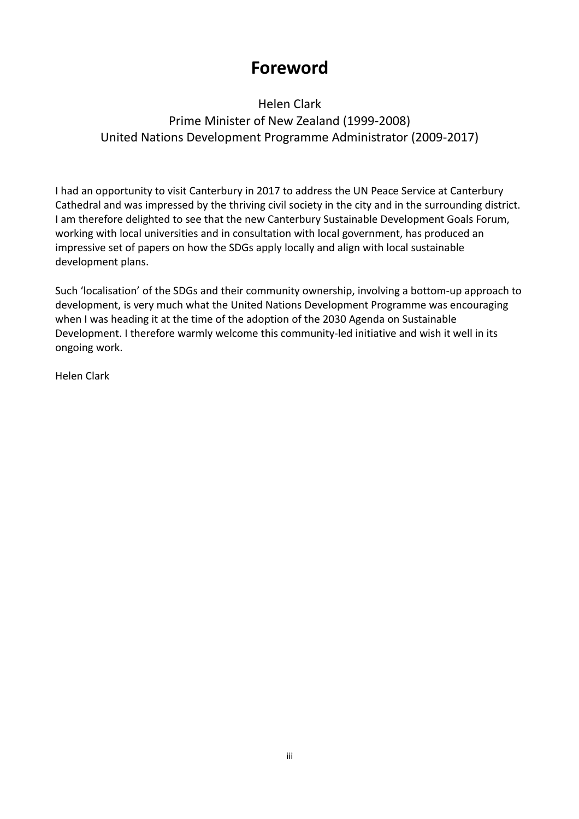# **Foreword**

# Helen Clark Prime Minister of New Zealand (1999-2008) United Nations Development Programme Administrator (2009-2017)

I had an opportunity to visit Canterbury in 2017 to address the UN Peace Service at Canterbury Cathedral and was impressed by the thriving civil society in the city and in the surrounding district. I am therefore delighted to see that the new Canterbury Sustainable Development Goals Forum, working with local universities and in consultation with local government, has produced an impressive set of papers on how the SDGs apply locally and align with local sustainable development plans.

Such 'localisation' of the SDGs and their community ownership, involving a bottom-up approach to development, is very much what the United Nations Development Programme was encouraging when I was heading it at the time of the adoption of the 2030 Agenda on Sustainable Development. I therefore warmly welcome this community-led initiative and wish it well in its ongoing work.

Helen Clark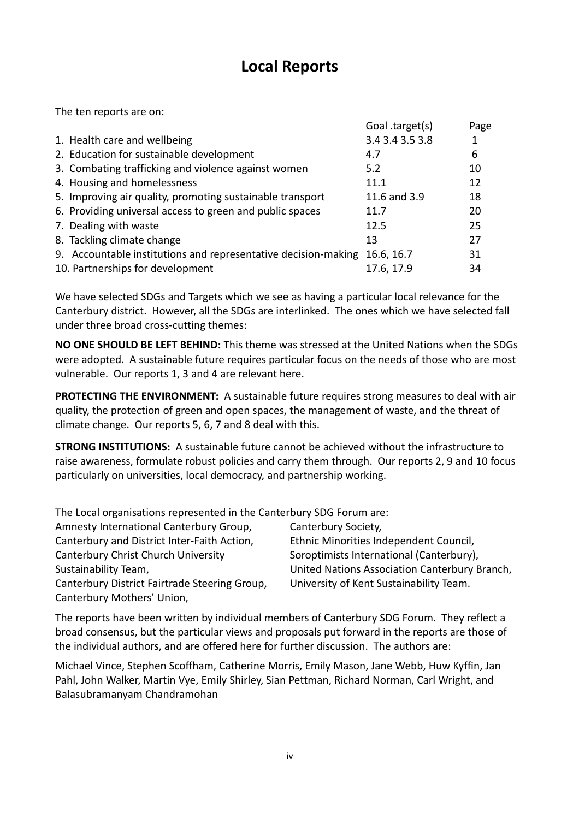# **Local Reports**

The ten reports are on:

|                                                                | Goal .target(s) | Page |
|----------------------------------------------------------------|-----------------|------|
| 1. Health care and wellbeing                                   | 3.4 3.4 3.5 3.8 |      |
| 2. Education for sustainable development                       | 4.7             | 6    |
| 3. Combating trafficking and violence against women            | 5.2             | 10   |
| 4. Housing and homelessness                                    | 11.1            | 12   |
| 5. Improving air quality, promoting sustainable transport      | 11.6 and 3.9    | 18   |
| 6. Providing universal access to green and public spaces       | 11.7            | 20   |
| 7. Dealing with waste                                          | 12.5            | 25   |
| 8. Tackling climate change                                     | 13              | 27   |
| 9. Accountable institutions and representative decision-making | 16.6, 16.7      | 31   |
| 10. Partnerships for development                               | 17.6, 17.9      | 34   |

We have selected SDGs and Targets which we see as having a particular local relevance for the Canterbury district. However, all the SDGs are interlinked. The ones which we have selected fall under three broad cross-cutting themes:

**NO ONE SHOULD BE LEFT BEHIND:** This theme was stressed at the United Nations when the SDGs were adopted. A sustainable future requires particular focus on the needs of those who are most vulnerable. Our reports 1, 3 and 4 are relevant here.

**PROTECTING THE ENVIRONMENT:** A sustainable future requires strong measures to deal with air quality, the protection of green and open spaces, the management of waste, and the threat of climate change. Our reports 5, 6, 7 and 8 deal with this.

**STRONG INSTITUTIONS:** A sustainable future cannot be achieved without the infrastructure to raise awareness, formulate robust policies and carry them through. Our reports 2, 9 and 10 focus particularly on universities, local democracy, and partnership working.

The Local organisations represented in the Canterbury SDG Forum are:

| Amnesty International Canterbury Group,       | Canterbury Society,                           |
|-----------------------------------------------|-----------------------------------------------|
| Canterbury and District Inter-Faith Action,   | Ethnic Minorities Independent Council,        |
| Canterbury Christ Church University           | Soroptimists International (Canterbury),      |
| Sustainability Team,                          | United Nations Association Canterbury Branch, |
| Canterbury District Fairtrade Steering Group, | University of Kent Sustainability Team.       |
| Canterbury Mothers' Union,                    |                                               |

The reports have been written by individual members of Canterbury SDG Forum. They reflect a broad consensus, but the particular views and proposals put forward in the reports are those of the individual authors, and are offered here for further discussion. The authors are:

Michael Vince, Stephen Scoffham, Catherine Morris, Emily Mason, Jane Webb, Huw Kyffin, Jan Pahl, John Walker, Martin Vye, Emily Shirley, Sian Pettman, Richard Norman, Carl Wright, and Balasubramanyam Chandramohan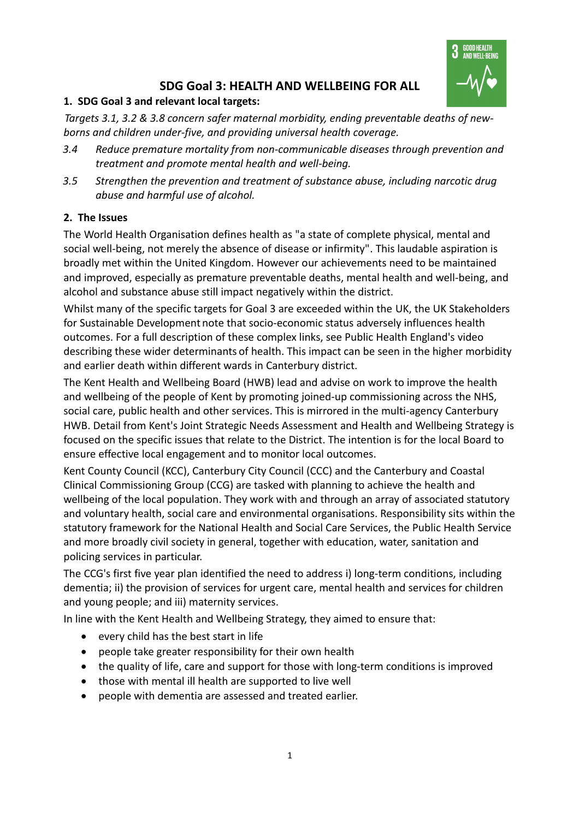

# **SDG Goal 3: HEALTH AND WELLBEING FOR ALL**

#### **1. SDG Goal 3 and relevant local targets:**

*Targets 3.1, 3.2 & 3.8 concern safer maternal morbidity, ending preventable deaths of newborns and children under-five, and providing universal health coverage.*

- *3.4 Reduce premature mortality from non-communicable diseases through prevention and treatment and promote mental health and well-being.*
- *3.5 Strengthen the prevention and treatment of substance abuse, including narcotic drug abuse and harmful use of alcohol.*

#### **2. The Issues**

The World Health Organisation defines health as "a state of complete physical, mental and social well-being, not merely the absence of disease or infirmity". This laudable aspiration is broadly met within the United Kingdom. However our achievements need to be maintained and improved, especially as premature preventable deaths, mental health and well-being, and alcohol and substance abuse still impact negatively within the district.

Whilst many of the specific targets for Goal 3 are exceeded within the UK, the UK Stakeholders for Sustainable Development note that socio-economic status adversely influences health outcomes. For a full description of these complex links, see Public Health England's video describing these wider determinants of health. This impact can be seen in the higher morbidity and earlier death within different wards in Canterbury district.

The Kent Health and Wellbeing Board (HWB) lead and advise on work to improve the health and wellbeing of the people of Kent by promoting joined-up commissioning across the NHS, social care, public health and other services. This is mirrored in the multi-agency Canterbury HWB. Detail from Kent's Joint Strategic Needs Assessment and Health and Wellbeing Strategy is focused on the specific issues that relate to the District. The intention is for the local Board to ensure effective local engagement and to monitor local outcomes.

Kent County Council (KCC), Canterbury City Council (CCC) and the Canterbury and Coastal Clinical Commissioning Group (CCG) are tasked with planning to achieve the health and wellbeing of the local population. They work with and through an array of associated statutory and voluntary health, social care and environmental organisations. Responsibility sits within the statutory framework for the National Health and Social Care Services, the Public Health Service and more broadly civil society in general, together with education, water, sanitation and policing services in particular.

The CCG's first five year plan identified the need to address i) long-term conditions, including dementia; ii) the provision of services for urgent care, mental health and services for children and young people; and iii) maternity services.

In line with the Kent Health and Wellbeing Strategy, they aimed to ensure that:

- every child has the best start in life
- people take greater responsibility for their own health
- the quality of life, care and support for those with long-term conditions is improved
- those with mental ill health are supported to live well
- people with dementia are assessed and treated earlier.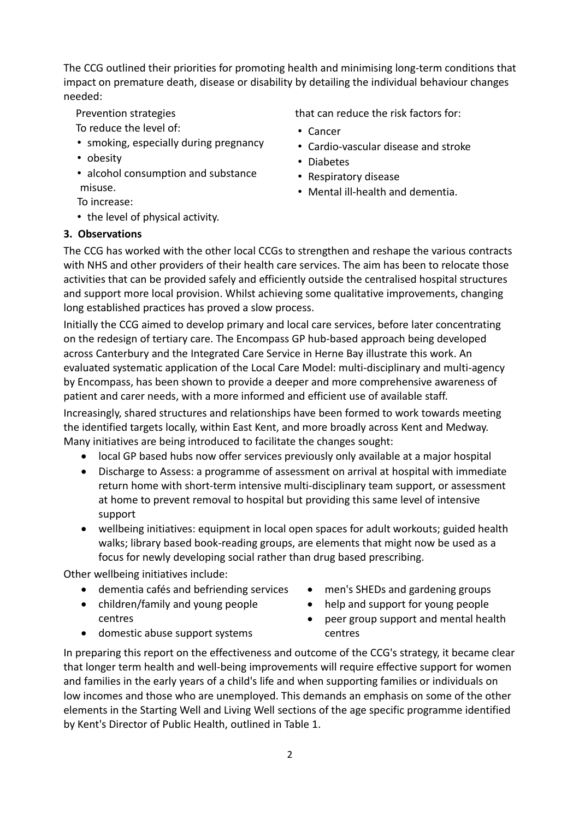The CCG outlined their priorities for promoting health and minimising long-term conditions that impact on premature death, disease or disability by detailing the individual behaviour changes needed:

Prevention strategies

- To reduce the level of:
- smoking, especially during pregnancy
- obesity
- alcohol consumption and substance misuse.
- To increase:
- the level of physical activity.

#### **3. Observations**

that can reduce the risk factors for:

- Cancer
- Cardio-vascular disease and stroke
- Diabetes
- Respiratory disease
- Mental ill-health and dementia.

The CCG has worked with the other local CCGs to strengthen and reshape the various contracts with NHS and other providers of their health care services. The aim has been to relocate those activities that can be provided safely and efficiently outside the centralised hospital structures and support more local provision. Whilst achieving some qualitative improvements, changing long established practices has proved a slow process.

Initially the CCG aimed to develop primary and local care services, before later concentrating on the redesign of tertiary care. The Encompass GP hub-based approach being developed across Canterbury and the Integrated Care Service in Herne Bay illustrate this work. An evaluated systematic application of the Local Care Model: multi-disciplinary and multi-agency by Encompass, has been shown to provide a deeper and more comprehensive awareness of patient and carer needs, with a more informed and efficient use of available staff.

Increasingly, shared structures and relationships have been formed to work towards meeting the identified targets locally, within East Kent, and more broadly across Kent and Medway. Many initiatives are being introduced to facilitate the changes sought:

- local GP based hubs now offer services previously only available at a major hospital
- Discharge to Assess: a programme of assessment on arrival at hospital with immediate return home with short-term intensive multi-disciplinary team support, or assessment at home to prevent removal to hospital but providing this same level of intensive support
- wellbeing initiatives: equipment in local open spaces for adult workouts; guided health walks; library based book-reading groups, are elements that might now be used as a focus for newly developing social rather than drug based prescribing.

Other wellbeing initiatives include:

- dementia cafés and befriending services
- children/family and young people centres
- men's SHEDs and gardening groups
- help and support for young people
- peer group support and mental health centres
- domestic abuse support systems

In preparing this report on the effectiveness and outcome of the CCG's strategy, it became clear that longer term health and well-being improvements will require effective support for women and families in the early years of a child's life and when supporting families or individuals on low incomes and those who are unemployed. This demands an emphasis on some of the other elements in the Starting Well and Living Well sections of the age specific programme identified by Kent's Director of Public Health, outlined in Table 1.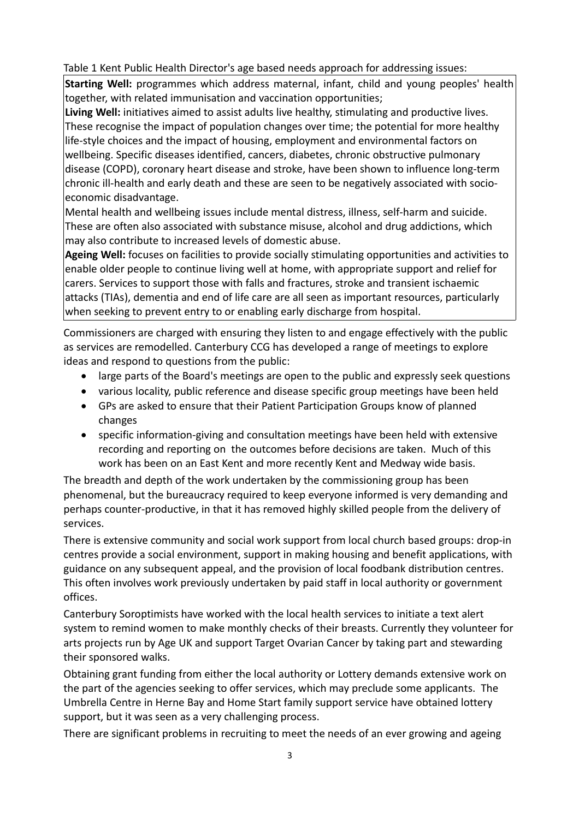Table 1 Kent Public Health Director's age based needs approach for addressing issues:

**Starting Well:** programmes which address maternal, infant, child and young peoples' health together, with related immunisation and vaccination opportunities;

**Living Well:** initiatives aimed to assist adults live healthy, stimulating and productive lives. These recognise the impact of population changes over time; the potential for more healthy life-style choices and the impact of housing, employment and environmental factors on wellbeing. Specific diseases identified, cancers, diabetes, chronic obstructive pulmonary disease (COPD), coronary heart disease and stroke, have been shown to influence long-term chronic ill-health and early death and these are seen to be negatively associated with socioeconomic disadvantage.

Mental health and wellbeing issues include mental distress, illness, self-harm and suicide. These are often also associated with substance misuse, alcohol and drug addictions, which may also contribute to increased levels of domestic abuse.

**Ageing Well:** focuses on facilities to provide socially stimulating opportunities and activities to enable older people to continue living well at home, with appropriate support and relief for carers. Services to support those with falls and fractures, stroke and transient ischaemic attacks (TIAs), dementia and end of life care are all seen as important resources, particularly when seeking to prevent entry to or enabling early discharge from hospital.

Commissioners are charged with ensuring they listen to and engage effectively with the public as services are remodelled. Canterbury CCG has developed a range of meetings to explore ideas and respond to questions from the public:

- large parts of the Board's meetings are open to the public and expressly seek questions
- various locality, public reference and disease specific group meetings have been held
- GPs are asked to ensure that their Patient Participation Groups know of planned changes
- specific information-giving and consultation meetings have been held with extensive recording and reporting on the outcomes before decisions are taken. Much of this work has been on an East Kent and more recently Kent and Medway wide basis.

The breadth and depth of the work undertaken by the commissioning group has been phenomenal, but the bureaucracy required to keep everyone informed is very demanding and perhaps counter-productive, in that it has removed highly skilled people from the delivery of services.

There is extensive community and social work support from local church based groups: drop-in centres provide a social environment, support in making housing and benefit applications, with guidance on any subsequent appeal, and the provision of local foodbank distribution centres. This often involves work previously undertaken by paid staff in local authority or government offices.

Canterbury Soroptimists have worked with the local health services to initiate a text alert system to remind women to make monthly checks of their breasts. Currently they volunteer for arts projects run by Age UK and support Target Ovarian Cancer by taking part and stewarding their sponsored walks.

Obtaining grant funding from either the local authority or Lottery demands extensive work on the part of the agencies seeking to offer services, which may preclude some applicants. The Umbrella Centre in Herne Bay and Home Start family support service have obtained lottery support, but it was seen as a very challenging process.

There are significant problems in recruiting to meet the needs of an ever growing and ageing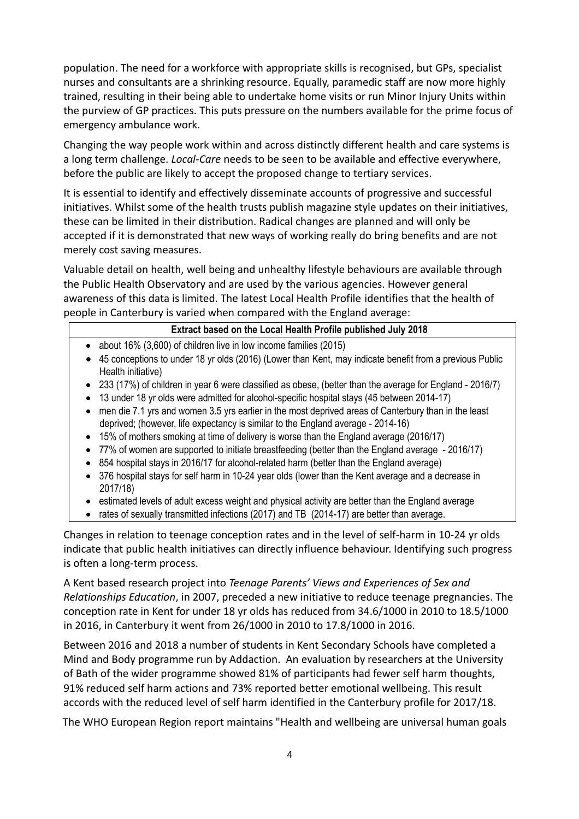population. The need for a workforce with appropriate skills is recognised, but GPs, specialist nurses and consultants are a shrinking resource. Equally, paramedic staff are now more highly trained, resulting in their being able to undertake home visits or run Minor Injury Units within the purview of GP practices. This puts pressure on the numbers available for the prime focus of emergency ambulance work.

Changing the way people work within and across distinctly different health and care systems is a long term challenge. *Local-Care* needs to be seen to be available and effective everywhere, before the public are likely to accept the proposed change to tertiary services.

It is essential to identify and effectively disseminate accounts of progressive and successful initiatives. Whilst some of the health trusts publish magazine style updates on their initiatives, these can be limited in their distribution. Radical changes are planned and will only be accepted if it is demonstrated that new ways of working really do bring benefits and are not merely cost saving measures.

Valuable detail on health, well being and unhealthy lifestyle behaviours are available through the Public Health Observatory and are used by the various agencies. However general awareness of this data is limited. The latest Local Health Profile identifies that the health of people in Canterbury is varied when compared with the England average:

#### **Extract based on the Local Health Profile published July 2018**

- about 16% (3,600) of children live in low income families (2015)
- 45 conceptions to under 18 yr olds (2016) (Lower than Kent, may indicate benefit from a previous Public Health initiative)
- 233 (17%) of children in year 6 were classified as obese, (better than the average for England 2016/7)
- 13 under 18 yr olds were admitted for alcohol-specific hospital stays (45 between 2014-17)
- men die 7.1 yrs and women 3.5 yrs earlier in the most deprived areas of Canterbury than in the least deprived; (however, life expectancy is similar to the England average - 2014-16)
- 15% of mothers smoking at time of delivery is worse than the England average (2016/17)
- 77% of women are supported to initiate breastfeeding (better than the England average 2016/17)
- 854 hospital stays in 2016/17 for alcohol-related harm (better than the England average)
- 376 hospital stays for self harm in 10-24 year olds (lower than the Kent average and a decrease in 2017/18)
- estimated levels of adult excess weight and physical activity are better than the England average
- rates of sexually transmitted infections (2017) and TB (2014-17) are better than average.

Changes in relation to teenage conception rates and in the level of self-harm in 10-24 yr olds indicate that public health initiatives can directly influence behaviour. Identifying such progress is often a long-term process.

A Kent based research project into *Teenage Parents' Views and Experiences of Sex and Relationships Education*, in 2007, preceded a new initiative to reduce teenage pregnancies. The conception rate in Kent for under 18 yr olds has reduced from 34.6/1000 in 2010 to 18.5/1000 in 2016, in Canterbury it went from 26/1000 in 2010 to 17.8/1000 in 2016.

Between 2016 and 2018 a number of students in Kent Secondary Schools have completed a Mind and Body programme run by Addaction. An evaluation by researchers at the University of Bath of the wider programme showed 81% of participants had fewer self harm thoughts, 91% reduced self harm actions and 73% reported better emotional wellbeing. This result accords with the reduced level of self harm identified in the Canterbury profile for 2017/18.

The WHO European Region report maintains "Health and wellbeing are universal human goals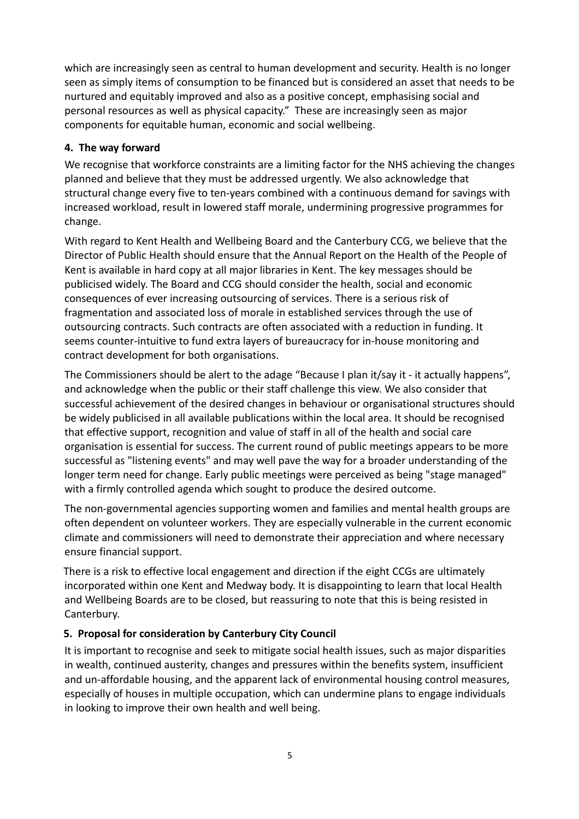which are increasingly seen as central to human development and security. Health is no longer seen as simply items of consumption to be financed but is considered an asset that needs to be nurtured and equitably improved and also as a positive concept, emphasising social and personal resources as well as physical capacity." These are increasingly seen as major components for equitable human, economic and social wellbeing.

#### **4. The way forward**

We recognise that workforce constraints are a limiting factor for the NHS achieving the changes planned and believe that they must be addressed urgently. We also acknowledge that structural change every five to ten-years combined with a continuous demand for savings with increased workload, result in lowered staff morale, undermining progressive programmes for change.

With regard to Kent Health and Wellbeing Board and the Canterbury CCG, we believe that the Director of Public Health should ensure that the Annual Report on the Health of the People of Kent is available in hard copy at all major libraries in Kent. The key messages should be publicised widely. The Board and CCG should consider the health, social and economic consequences of ever increasing outsourcing of services. There is a serious risk of fragmentation and associated loss of morale in established services through the use of outsourcing contracts. Such contracts are often associated with a reduction in funding. It seems counter-intuitive to fund extra layers of bureaucracy for in-house monitoring and contract development for both organisations.

The Commissioners should be alert to the adage "Because I plan it/say it - it actually happens", and acknowledge when the public or their staff challenge this view. We also consider that successful achievement of the desired changes in behaviour or organisational structures should be widely publicised in all available publications within the local area. It should be recognised that effective support, recognition and value of staff in all of the health and social care organisation is essential for success. The current round of public meetings appears to be more successful as "listening events" and may well pave the way for a broader understanding of the longer term need for change. Early public meetings were perceived as being "stage managed" with a firmly controlled agenda which sought to produce the desired outcome.

The non-governmental agencies supporting women and families and mental health groups are often dependent on volunteer workers. They are especially vulnerable in the current economic climate and commissioners will need to demonstrate their appreciation and where necessary ensure financial support.

There is a risk to effective local engagement and direction if the eight CCGs are ultimately incorporated within one Kent and Medway body. It is disappointing to learn that local Health and Wellbeing Boards are to be closed, but reassuring to note that this is being resisted in Canterbury.

#### **5. Proposal for consideration by Canterbury City Council**

It is important to recognise and seek to mitigate social health issues, such as major disparities in wealth, continued austerity, changes and pressures within the benefits system, insufficient and un-affordable housing, and the apparent lack of environmental housing control measures, especially of houses in multiple occupation, which can undermine plans to engage individuals in looking to improve their own health and well being.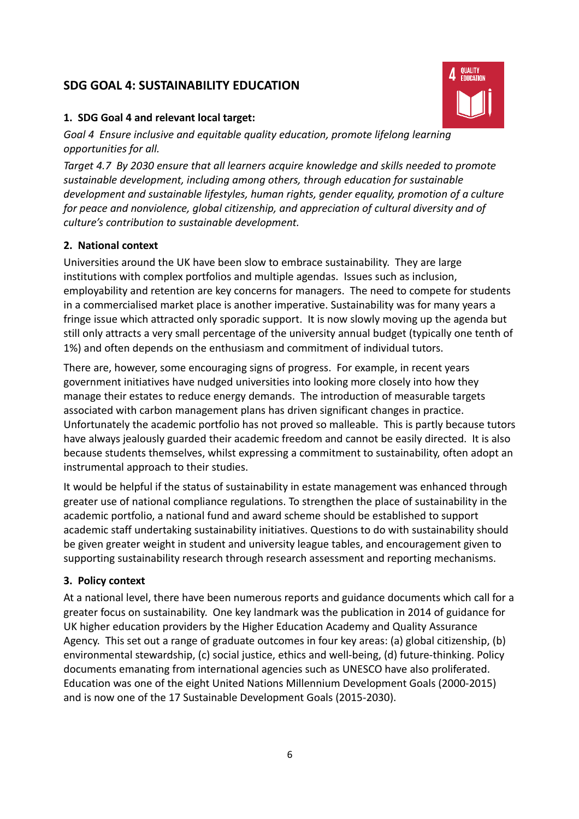#### **SDG GOAL 4: SUSTAINABILITY EDUCATION**



#### **1. SDG Goal 4 and relevant local target:**

*Goal 4 Ensure inclusive and equitable quality education, promote lifelong learning opportunities for all.*

*Target 4.7 By 2030 ensure that all learners acquire knowledge and skills needed to promote sustainable development, including among others, through education for sustainable development and sustainable lifestyles, human rights, gender equality, promotion of a culture for peace and nonviolence, global citizenship, and appreciation of cultural diversity and of culture's contribution to sustainable development.*

#### **2. National context**

Universities around the UK have been slow to embrace sustainability. They are large institutions with complex portfolios and multiple agendas. Issues such as inclusion, employability and retention are key concerns for managers. The need to compete for students in a commercialised market place is another imperative. Sustainability was for many years a fringe issue which attracted only sporadic support. It is now slowly moving up the agenda but still only attracts a very small percentage of the university annual budget (typically one tenth of 1%) and often depends on the enthusiasm and commitment of individual tutors.

There are, however, some encouraging signs of progress. For example, in recent years government initiatives have nudged universities into looking more closely into how they manage their estates to reduce energy demands. The introduction of measurable targets associated with carbon management plans has driven significant changes in practice. Unfortunately the academic portfolio has not proved so malleable. This is partly because tutors have always jealously guarded their academic freedom and cannot be easily directed. It is also because students themselves, whilst expressing a commitment to sustainability, often adopt an instrumental approach to their studies.

It would be helpful if the status of sustainability in estate management was enhanced through greater use of national compliance regulations. To strengthen the place of sustainability in the academic portfolio, a national fund and award scheme should be established to support academic staff undertaking sustainability initiatives. Questions to do with sustainability should be given greater weight in student and university league tables, and encouragement given to supporting sustainability research through research assessment and reporting mechanisms.

#### **3. Policy context**

At a national level, there have been numerous reports and guidance documents which call for a greater focus on sustainability. One key landmark was the publication in 2014 of guidance for UK higher education providers by the Higher Education Academy and Quality Assurance Agency. This set out a range of graduate outcomes in four key areas: (a) global citizenship, (b) environmental stewardship, (c) social justice, ethics and well-being, (d) future-thinking. Policy documents emanating from international agencies such as UNESCO have also proliferated. Education was one of the eight United Nations Millennium Development Goals (2000-2015) and is now one of the 17 Sustainable Development Goals (2015-2030).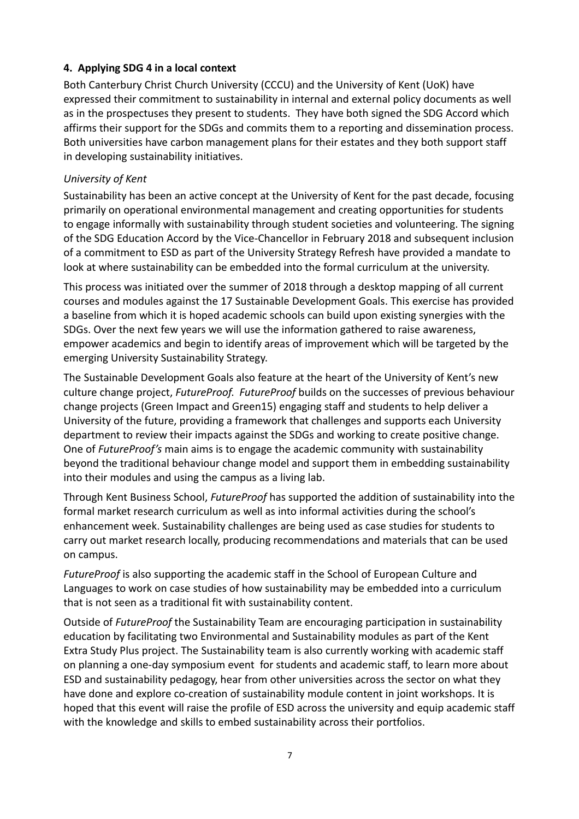#### **4. Applying SDG 4 in a local context**

Both Canterbury Christ Church University (CCCU) and the University of Kent (UoK) have expressed their commitment to sustainability in internal and external policy documents as well as in the prospectuses they present to students. They have both signed the SDG Accord which affirms their support for the SDGs and commits them to a reporting and dissemination process. Both universities have carbon management plans for their estates and they both support staff in developing sustainability initiatives.

#### *University of Kent*

Sustainability has been an active concept at the University of Kent for the past decade, focusing primarily on operational environmental management and creating opportunities for students to engage informally with sustainability through student societies and volunteering. The signing of the SDG Education Accord by the Vice-Chancellor in February 2018 and subsequent inclusion of a commitment to ESD as part of the University Strategy Refresh have provided a mandate to look at where sustainability can be embedded into the formal curriculum at the university.

This process was initiated over the summer of 2018 through a desktop mapping of all current courses and modules against the 17 Sustainable Development Goals. This exercise has provided a baseline from which it is hoped academic schools can build upon existing synergies with the SDGs. Over the next few years we will use the information gathered to raise awareness, empower academics and begin to identify areas of improvement which will be targeted by the emerging University Sustainability Strategy.

The Sustainable Development Goals also feature at the heart of the University of Kent's new culture change project, *FutureProof*. *FutureProof* builds on the successes of previous behaviour change projects (Green Impact and Green15) engaging staff and students to help deliver a University of the future, providing a framework that challenges and supports each University department to review their impacts against the SDGs and working to create positive change. One of *FutureProof's* main aims is to engage the academic community with sustainability beyond the traditional behaviour change model and support them in embedding sustainability into their modules and using the campus as a living lab.

Through Kent Business School, *FutureProof* has supported the addition of sustainability into the formal market research curriculum as well as into informal activities during the school's enhancement week. Sustainability challenges are being used as case studies for students to carry out market research locally, producing recommendations and materials that can be used on campus.

*FutureProof* is also supporting the academic staff in the School of European Culture and Languages to work on case studies of how sustainability may be embedded into a curriculum that is not seen as a traditional fit with sustainability content.

Outside of *FutureProof* the Sustainability Team are encouraging participation in sustainability education by facilitating two Environmental and Sustainability modules as part of the Kent Extra Study Plus project. The Sustainability team is also currently working with academic staff on planning a one-day symposium event for students and academic staff, to learn more about ESD and sustainability pedagogy, hear from other universities across the sector on what they have done and explore co-creation of sustainability module content in joint workshops. It is hoped that this event will raise the profile of ESD across the university and equip academic staff with the knowledge and skills to embed sustainability across their portfolios.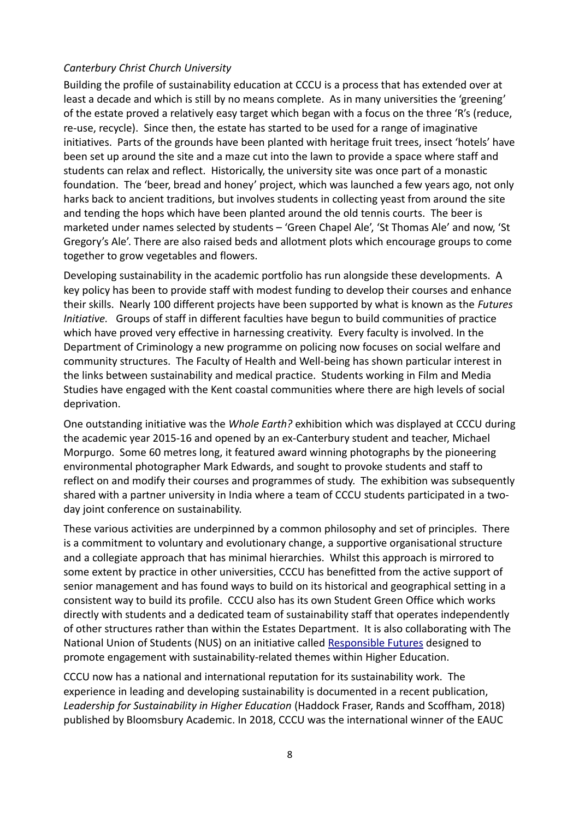#### *Canterbury Christ Church University*

Building the profile of sustainability education at CCCU is a process that has extended over at least a decade and which is still by no means complete. As in many universities the 'greening' of the estate proved a relatively easy target which began with a focus on the three 'R's (reduce, re-use, recycle). Since then, the estate has started to be used for a range of imaginative initiatives. Parts of the grounds have been planted with heritage fruit trees, insect 'hotels' have been set up around the site and a maze cut into the lawn to provide a space where staff and students can relax and reflect. Historically, the university site was once part of a monastic foundation. The 'beer, bread and honey' project, which was launched a few years ago, not only harks back to ancient traditions, but involves students in collecting yeast from around the site and tending the hops which have been planted around the old tennis courts. The beer is marketed under names selected by students – 'Green Chapel Ale', 'St Thomas Ale' and now, 'St Gregory's Ale'. There are also raised beds and allotment plots which encourage groups to come together to grow vegetables and flowers.

Developing sustainability in the academic portfolio has run alongside these developments. A key policy has been to provide staff with modest funding to develop their courses and enhance their skills. Nearly 100 different projects have been supported by what is known as the *Futures Initiative.* Groups of staff in different faculties have begun to build communities of practice which have proved very effective in harnessing creativity. Every faculty is involved. In the Department of Criminology a new programme on policing now focuses on social welfare and community structures. The Faculty of Health and Well-being has shown particular interest in the links between sustainability and medical practice. Students working in Film and Media Studies have engaged with the Kent coastal communities where there are high levels of social deprivation.

One outstanding initiative was the *Whole Earth?* exhibition which was displayed at CCCU during the academic year 2015-16 and opened by an ex-Canterbury student and teacher, Michael Morpurgo. Some 60 metres long, it featured award winning photographs by the pioneering environmental photographer Mark Edwards, and sought to provoke students and staff to reflect on and modify their courses and programmes of study. The exhibition was subsequently shared with a partner university in India where a team of CCCU students participated in a twoday joint conference on sustainability.

These various activities are underpinned by a common philosophy and set of principles. There is a commitment to voluntary and evolutionary change, a supportive organisational structure and a collegiate approach that has minimal hierarchies. Whilst this approach is mirrored to some extent by practice in other universities, CCCU has benefitted from the active support of senior management and has found ways to build on its historical and geographical setting in a consistent way to build its profile. CCCU also has its own Student Green Office which works directly with students and a dedicated team of sustainability staff that operates independently of other structures rather than within the Estates Department. It is also collaborating with The National Union of Students (NUS) on an initiative called [Responsible Futures](https://sustainability.unioncloud.org/responsible-futures/) designed to promote engagement with sustainability-related themes within Higher Education.

CCCU now has a national and international reputation for its sustainability work. The experience in leading and developing sustainability is documented in a recent publication, *Leadership for Sustainability in Higher Education* (Haddock Fraser, Rands and Scoffham, 2018) published by Bloomsbury Academic. In 2018, CCCU was the international winner of the EAUC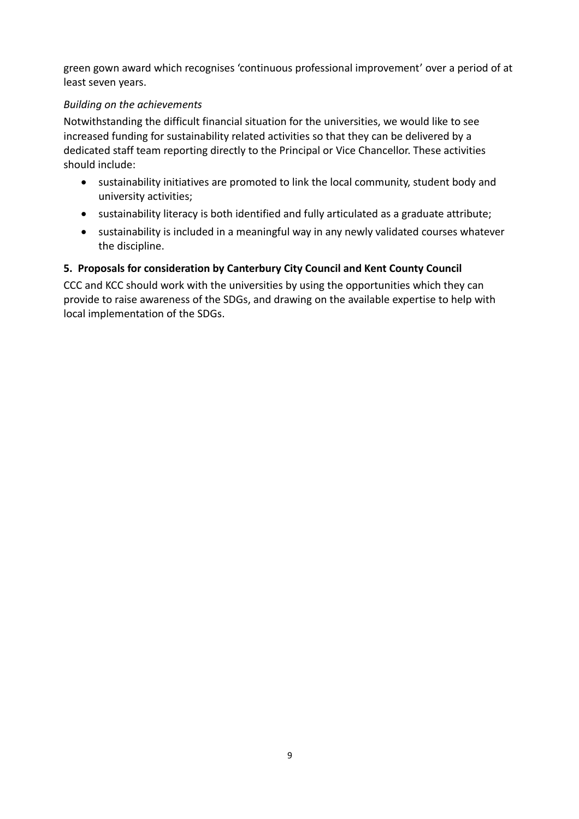green gown award which recognises 'continuous professional improvement' over a period of at least seven years.

#### *Building on the achievements*

Notwithstanding the difficult financial situation for the universities, we would like to see increased funding for sustainability related activities so that they can be delivered by a dedicated staff team reporting directly to the Principal or Vice Chancellor. These activities should include:

- sustainability initiatives are promoted to link the local community, student body and university activities;
- sustainability literacy is both identified and fully articulated as a graduate attribute;
- sustainability is included in a meaningful way in any newly validated courses whatever the discipline.

#### **5. Proposals for consideration by Canterbury City Council and Kent County Council**

CCC and KCC should work with the universities by using the opportunities which they can provide to raise awareness of the SDGs, and drawing on the available expertise to help with local implementation of the SDGs.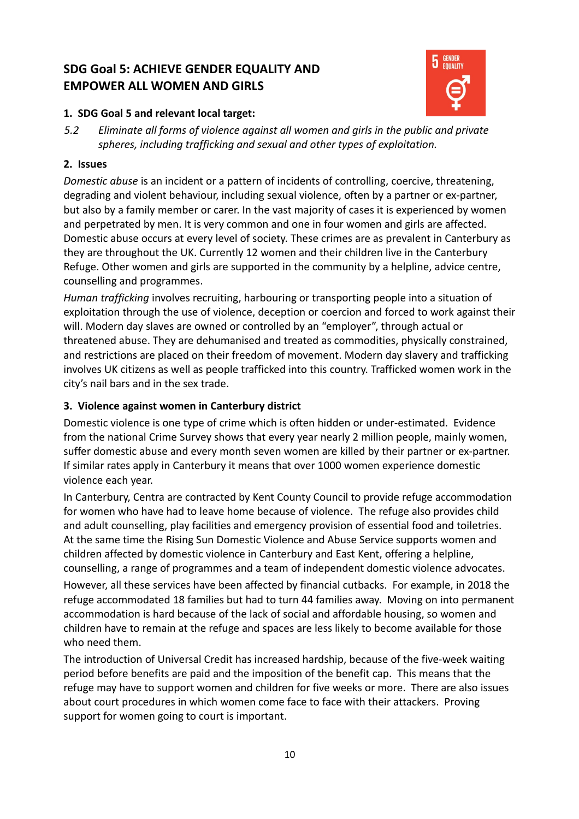# **SDG Goal 5: ACHIEVE GENDER EQUALITY AND EMPOWER ALL WOMEN AND GIRLS**



#### **1. SDG Goal 5 and relevant local target:**

*5.2 Eliminate all forms of violence against all women and girls in the public and private spheres, including trafficking and sexual and other types of exploitation.*

#### **2. Issues**

*Domestic abuse* is an incident or a pattern of incidents of controlling, coercive, threatening, degrading and violent behaviour, including sexual violence, often by a partner or ex-partner, but also by a family member or carer. In the vast majority of cases it is experienced by women and perpetrated by men. It is very common and one in four women and girls are affected. Domestic abuse occurs at every level of society. These crimes are as prevalent in Canterbury as they are throughout the UK. Currently 12 women and their children live in the Canterbury Refuge. Other women and girls are supported in the community by a helpline, advice centre, counselling and programmes.

*Human trafficking* involves recruiting, harbouring or transporting people into a situation of exploitation through the use of violence, deception or coercion and forced to work against their will. Modern day slaves are owned or controlled by an "employer", through actual or threatened abuse. They are dehumanised and treated as commodities, physically constrained, and restrictions are placed on their freedom of movement. Modern day slavery and trafficking involves UK citizens as well as people trafficked into this country. Trafficked women work in the city's nail bars and in the sex trade.

#### **3. Violence against women in Canterbury district**

Domestic violence is one type of crime which is often hidden or under-estimated. Evidence from the national Crime Survey shows that every year nearly 2 million people, mainly women, suffer domestic abuse and every month seven women are killed by their partner or ex-partner. If similar rates apply in Canterbury it means that over 1000 women experience domestic violence each year.

In Canterbury, Centra are contracted by Kent County Council to provide refuge accommodation for women who have had to leave home because of violence. The refuge also provides child and adult counselling, play facilities and emergency provision of essential food and toiletries. At the same time the Rising Sun Domestic Violence and Abuse Service supports women and children affected by domestic violence in Canterbury and East Kent, offering a helpline, counselling, a range of programmes and a team of independent domestic violence advocates.

However, all these services have been affected by financial cutbacks. For example, in 2018 the refuge accommodated 18 families but had to turn 44 families away. Moving on into permanent accommodation is hard because of the lack of social and affordable housing, so women and children have to remain at the refuge and spaces are less likely to become available for those who need them.

The introduction of Universal Credit has increased hardship, because of the five-week waiting period before benefits are paid and the imposition of the benefit cap. This means that the refuge may have to support women and children for five weeks or more. There are also issues about court procedures in which women come face to face with their attackers. Proving support for women going to court is important.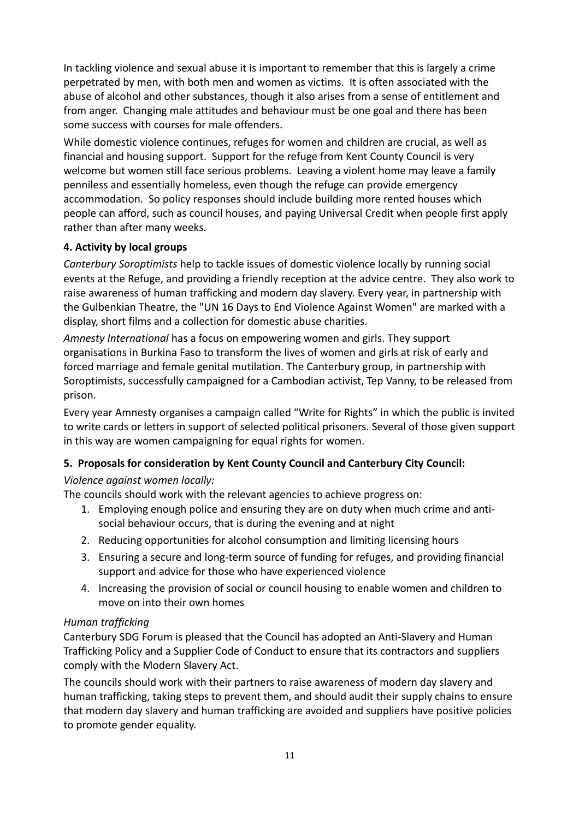In tackling violence and sexual abuse it is important to remember that this is largely a crime perpetrated by men, with both men and women as victims. It is often associated with the abuse of alcohol and other substances, though it also arises from a sense of entitlement and from anger. Changing male attitudes and behaviour must be one goal and there has been some success with courses for male offenders.

While domestic violence continues, refuges for women and children are crucial, as well as financial and housing support. Support for the refuge from Kent County Council is very welcome but women still face serious problems. Leaving a violent home may leave a family penniless and essentially homeless, even though the refuge can provide emergency accommodation. So policy responses should include building more rented houses which people can afford, such as council houses, and paying Universal Credit when people first apply rather than after many weeks.

#### **4. Activity by local groups**

*Canterbury Soroptimists* help to tackle issues of domestic violence locally by running social events at the Refuge, and providing a friendly reception at the advice centre. They also work to raise awareness of human trafficking and modern day slavery. Every year, in partnership with the Gulbenkian Theatre, the "UN 16 Days to End Violence Against Women" are marked with a display, short films and a collection for domestic abuse charities.

*Amnesty International* has a focus on empowering women and girls. They support organisations in Burkina Faso to transform the lives of women and girls at risk of early and forced marriage and female genital mutilation. The Canterbury group, in partnership with Soroptimists, successfully campaigned for a Cambodian activist, Tep Vanny, to be released from prison.

Every year Amnesty organises a campaign called "Write for Rights" in which the public is invited to write cards or letters in support of selected political prisoners. Several of those given support in this way are women campaigning for equal rights for women.

#### **5. Proposals for consideration by Kent County Council and Canterbury City Council:**

#### *Violence against women locally:*

The councils should work with the relevant agencies to achieve progress on:

- 1. Employing enough police and ensuring they are on duty when much crime and antisocial behaviour occurs, that is during the evening and at night
- 2. Reducing opportunities for alcohol consumption and limiting licensing hours
- 3. Ensuring a secure and long-term source of funding for refuges, and providing financial support and advice for those who have experienced violence
- 4. Increasing the provision of social or council housing to enable women and children to move on into their own homes

#### *Human trafficking*

Canterbury SDG Forum is pleased that the Council has adopted an Anti-Slavery and Human Trafficking Policy and a Supplier Code of Conduct to ensure that its contractors and suppliers comply with the Modern Slavery Act.

The councils should work with their partners to raise awareness of modern day slavery and human trafficking, taking steps to prevent them, and should audit their supply chains to ensure that modern day slavery and human trafficking are avoided and suppliers have positive policies to promote gender equality.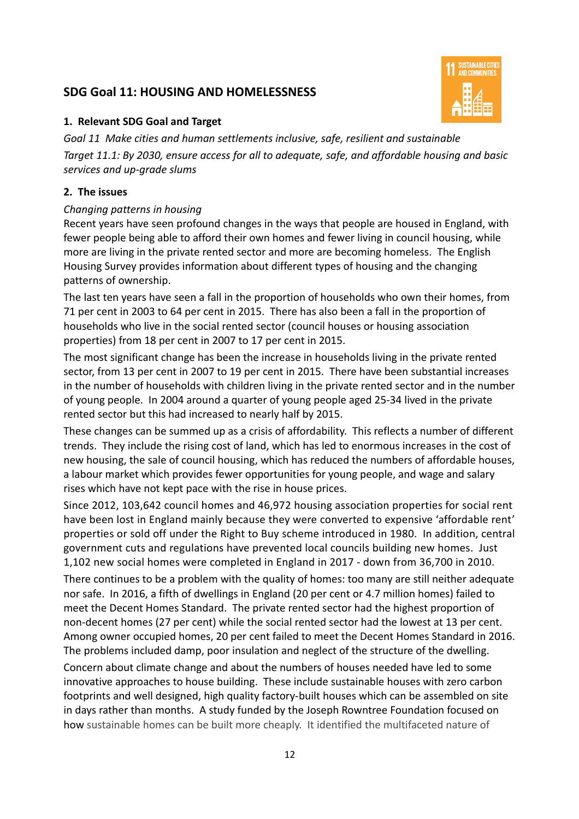### **SDG Goal 11: HOUSING AND HOMELESSNESS**



#### **1. Relevant SDG Goal and Target**

*Goal 11 Make cities and human settlements inclusive, safe, resilient and sustainable Target 11.1: By 2030, ensure access for all to adequate, safe, and affordable housing and basic services and up-grade slums*

#### **2. The issues**

#### *Changing patterns in housing*

Recent years have seen profound changes in the ways that people are housed in England, with fewer people being able to afford their own homes and fewer living in council housing, while more are living in the private rented sector and more are becoming homeless. The English Housing Survey provides information about different types of housing and the changing patterns of ownership.

The last ten years have seen a fall in the proportion of households who own their homes, from 71 per cent in 2003 to 64 per cent in 2015. There has also been a fall in the proportion of households who live in the social rented sector (council houses or housing association properties) from 18 per cent in 2007 to 17 per cent in 2015.

The most significant change has been the increase in households living in the private rented sector, from 13 per cent in 2007 to 19 per cent in 2015. There have been substantial increases in the number of households with children living in the private rented sector and in the number of young people. In 2004 around a quarter of young people aged 25-34 lived in the private rented sector but this had increased to nearly half by 2015.

These changes can be summed up as a crisis of affordability. This reflects a number of different trends. They include the rising cost of land, which has led to enormous increases in the cost of new housing, the sale of council housing, which has reduced the numbers of affordable houses, a labour market which provides fewer opportunities for young people, and wage and salary rises which have not kept pace with the rise in house prices.

Since 2012, 103,642 council homes and 46,972 housing association properties for social rent have been lost in England mainly because they were converted to expensive 'affordable rent' properties or sold off under the Right to Buy scheme introduced in 1980. In addition, central government cuts and regulations have prevented local councils building new homes. Just 1,102 new social homes were completed in England in 2017 - down from 36,700 in 2010.

There continues to be a problem with the quality of homes: too many are still neither adequate nor safe. In 2016, a fifth of dwellings in England (20 per cent or 4.7 million homes) failed to meet the Decent Homes Standard. The private rented sector had the highest proportion of non-decent homes (27 per cent) while the social rented sector had the lowest at 13 per cent. Among owner occupied homes, 20 per cent failed to meet the Decent Homes Standard in 2016. The problems included damp, poor insulation and neglect of the structure of the dwelling.

Concern about climate change and about the numbers of houses needed have led to some innovative approaches to house building. These include sustainable houses with zero carbon footprints and well designed, high quality factory-built houses which can be assembled on site in days rather than months. A study funded by the Joseph Rowntree Foundation focused on how sustainable homes can be built more cheaply. It identified the multifaceted nature of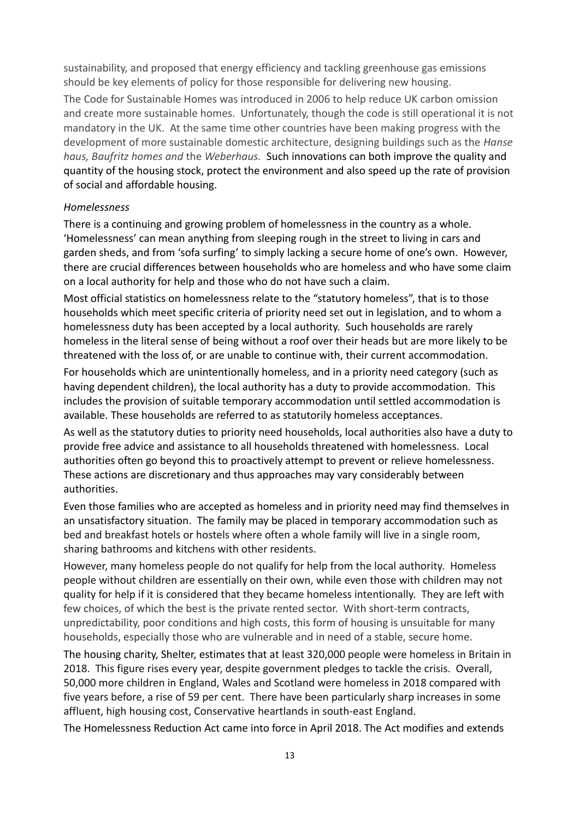sustainability, and proposed that energy efficiency and tackling greenhouse gas emissions should be key elements of policy for those responsible for delivering new housing.

The Code for Sustainable Homes was introduced in 2006 to help reduce UK carbon omission and create more sustainable homes. Unfortunately, though the code is still operational it is not mandatory in the UK. At the same time other countries have been making progress with the development of more sustainable domestic architecture, designing buildings such as the *Hanse haus, Baufritz homes and* the *Weberhaus.* Such innovations can both improve the quality and quantity of the housing stock, protect the environment and also speed up the rate of provision of social and affordable housing.

#### *Homelessness*

There is a continuing and growing problem of homelessness in the country as a whole. 'Homelessness' can mean anything from sleeping rough in the street to living in cars and garden sheds, and from 'sofa surfing' to simply lacking a secure home of one's own. However, there are crucial differences between households who are homeless and who have some claim on a local authority for help and those who do not have such a claim.

Most official statistics on homelessness relate to the "statutory homeless", that is to those households which meet specific criteria of priority need set out in legislation, and to whom a homelessness duty has been accepted by a local authority. Such households are rarely homeless in the literal sense of being without a roof over their heads but are more likely to be threatened with the loss of, or are unable to continue with, their current accommodation.

For households which are unintentionally homeless, and in a priority need category (such as having dependent children), the local authority has a duty to provide accommodation. This includes the provision of suitable temporary accommodation until settled accommodation is available. These households are referred to as statutorily homeless acceptances.

As well as the statutory duties to priority need households, local authorities also have a duty to provide free advice and assistance to all households threatened with homelessness. Local authorities often go beyond this to proactively attempt to prevent or relieve homelessness. These actions are discretionary and thus approaches may vary considerably between authorities.

Even those families who are accepted as homeless and in priority need may find themselves in an unsatisfactory situation. The family may be placed in temporary accommodation such as bed and breakfast hotels or hostels where often a whole family will live in a single room, sharing bathrooms and kitchens with other residents.

However, many homeless people do not qualify for help from the local authority. Homeless people without children are essentially on their own, while even those with children may not quality for help if it is considered that they became homeless intentionally. They are left with few choices, of which the best is the private rented sector. With short-term contracts, unpredictability, poor conditions and high costs, this form of housing is unsuitable for many households, especially those who are vulnerable and in need of a stable, secure home.

The housing charity, Shelter, estimates that at least 320,000 people were homeless in Britain in 2018. This figure rises every year, despite government pledges to tackle the crisis. Overall, 50,000 more children in England, Wales and Scotland were homeless in 2018 compared with five years before, a rise of 59 per cent. There have been particularly sharp increases in some affluent, high housing cost, Conservative heartlands in south-east England.

The Homelessness Reduction Act came into force in April 2018. The Act modifies and extends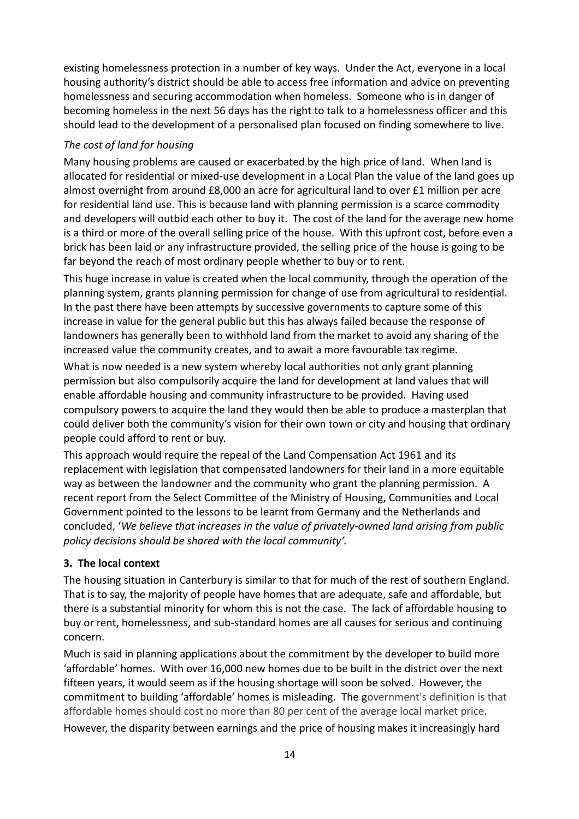existing homelessness protection in a number of key ways. Under the Act, everyone in a local housing authority's district should be able to access free information and advice on preventing homelessness and securing accommodation when homeless. Someone who is in danger of becoming homeless in the next 56 days has the right to talk to a homelessness officer and this should lead to the development of a personalised plan focused on finding somewhere to live.

#### *The cost of land for housing*

Many housing problems are caused or exacerbated by the high price of land. When land is allocated for residential or mixed-use development in a Local Plan the value of the land goes up almost overnight from around £8,000 an acre for agricultural land to over £1 million per acre for residential land use. This is because land with planning permission is a scarce commodity and developers will outbid each other to buy it. The cost of the land for the average new home is a third or more of the overall selling price of the house. With this upfront cost, before even a brick has been laid or any infrastructure provided, the selling price of the house is going to be far beyond the reach of most ordinary people whether to buy or to rent.

This huge increase in value is created when the local community, through the operation of the planning system, grants planning permission for change of use from agricultural to residential. In the past there have been attempts by successive governments to capture some of this increase in value for the general public but this has always failed because the response of landowners has generally been to withhold land from the market to avoid any sharing of the increased value the community creates, and to await a more favourable tax regime.

What is now needed is a new system whereby local authorities not only grant planning permission but also compulsorily acquire the land for development at land values that will enable affordable housing and community infrastructure to be provided. Having used compulsory powers to acquire the land they would then be able to produce a masterplan that could deliver both the community's vision for their own town or city and housing that ordinary people could afford to rent or buy.

This approach would require the repeal of the Land Compensation Act 1961 and its replacement with legislation that compensated landowners for their land in a more equitable way as between the landowner and the community who grant the planning permission. A recent report from the Select Committee of the Ministry of Housing, Communities and Local Government pointed to the lessons to be learnt from Germany and the Netherlands and concluded, '*We believe that increases in the value of privately-owned land arising from public policy decisions should be shared with the local community'*.

#### **3. The local context**

The housing situation in Canterbury is similar to that for much of the rest of southern England. That is to say, the majority of people have homes that are adequate, safe and affordable, but there is a substantial minority for whom this is not the case. The lack of affordable housing to buy or rent, homelessness, and sub-standard homes are all causes for serious and continuing concern.

Much is said in planning applications about the commitment by the developer to build more 'affordable' homes. With over 16,000 new homes due to be built in the district over the next fifteen years, it would seem as if the housing shortage will soon be solved. However, the commitment to building 'affordable' homes is misleading. The government's definition is that affordable homes should cost no more than 80 per cent of the average local market price.

However, the disparity between earnings and the price of housing makes it increasingly hard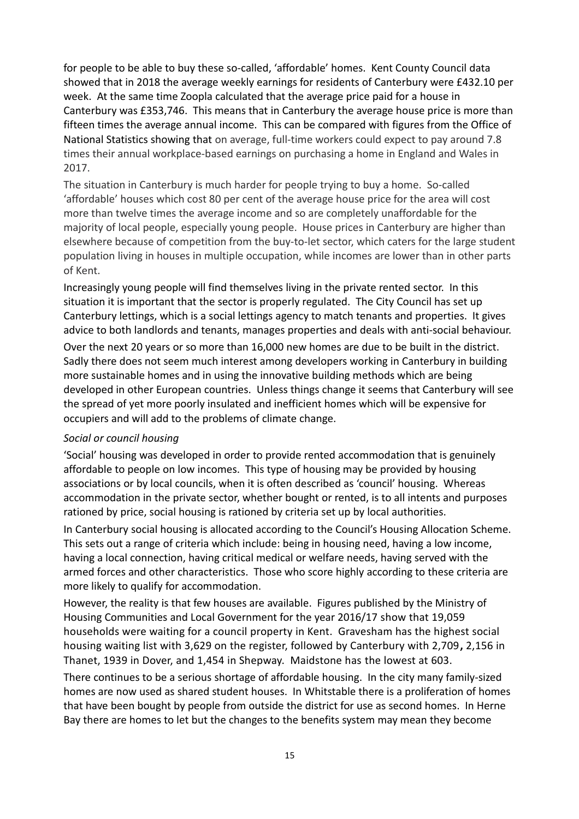for people to be able to buy these so-called, 'affordable' homes. Kent County Council data showed that in 2018 the average weekly earnings for residents of Canterbury were £432.10 per week. At the same time Zoopla calculated that the average price paid for a house in Canterbury was £353,746. This means that in Canterbury the average house price is more than fifteen times the average annual income. This can be compared with figures from the Office of National Statistics showing that on average, full-time workers could expect to pay around 7.8 times their annual workplace-based earnings on purchasing a home in England and Wales in 2017.

The situation in Canterbury is much harder for people trying to buy a home. So-called 'affordable' houses which cost 80 per cent of the average house price for the area will cost more than twelve times the average income and so are completely unaffordable for the majority of local people, especially young people. House prices in Canterbury are higher than elsewhere because of competition from the buy-to-let sector, which caters for the large student population living in houses in multiple occupation, while incomes are lower than in other parts of Kent.

Increasingly young people will find themselves living in the private rented sector. In this situation it is important that the sector is properly regulated. The City Council has set up Canterbury lettings, which is a social lettings agency to match tenants and properties. It gives advice to both landlords and tenants, manages properties and deals with anti-social behaviour.

Over the next 20 years or so more than 16,000 new homes are due to be built in the district. Sadly there does not seem much interest among developers working in Canterbury in building more sustainable homes and in using the innovative building methods which are being developed in other European countries. Unless things change it seems that Canterbury will see the spread of yet more poorly insulated and inefficient homes which will be expensive for occupiers and will add to the problems of climate change.

#### *Social or council housing*

'Social' housing was developed in order to provide rented accommodation that is genuinely affordable to people on low incomes. This type of housing may be provided by housing associations or by local councils, when it is often described as 'council' housing. Whereas accommodation in the private sector, whether bought or rented, is to all intents and purposes rationed by price, social housing is rationed by criteria set up by local authorities.

In Canterbury social housing is allocated according to the Council's Housing Allocation Scheme. This sets out a range of criteria which include: being in housing need, having a low income, having a local connection, having critical medical or welfare needs, having served with the armed forces and other characteristics. Those who score highly according to these criteria are more likely to qualify for accommodation.

However, the reality is that few houses are available. Figures published by the Ministry of Housing Communities and Local Government for the year 2016/17 show that 19,059 households were waiting for a council property in Kent. Gravesham has the highest social housing waiting list with 3,629 on the register, followed by Canterbury with 2,709**,** 2,156 in Thanet, 1939 in Dover, and 1,454 in Shepway. Maidstone has the lowest at 603.

There continues to be a serious shortage of affordable housing. In the city many family-sized homes are now used as shared student houses. In Whitstable there is a proliferation of homes that have been bought by people from outside the district for use as second homes. In Herne Bay there are homes to let but the changes to the benefits system may mean they become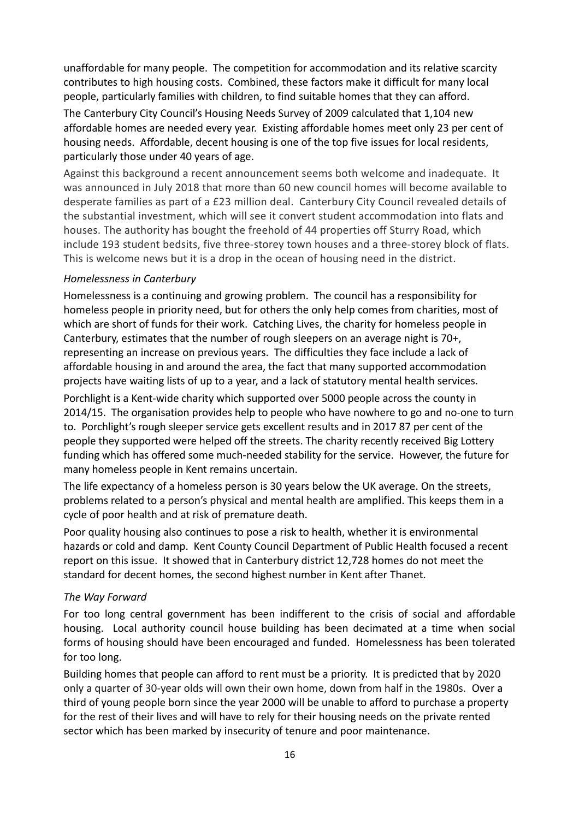unaffordable for many people. The competition for accommodation and its relative scarcity contributes to high housing costs. Combined, these factors make it difficult for many local people, particularly families with children, to find suitable homes that they can afford.

The Canterbury City Council's Housing Needs Survey of 2009 calculated that 1,104 new affordable homes are needed every year. Existing affordable homes meet only 23 per cent of housing needs. Affordable, decent housing is one of the top five issues for local residents, particularly those under 40 years of age.

Against this background a recent announcement seems both welcome and inadequate. It was announced in July 2018 that more than 60 new council homes will become available to desperate families as part of a £23 million deal. Canterbury City Council revealed details of the substantial investment, which will see it convert student accommodation into flats and houses. The authority has bought the freehold of 44 properties off Sturry Road, which include 193 student bedsits, five three-storey town houses and a three-storey block of flats. This is welcome news but it is a drop in the ocean of housing need in the district.

#### *Homelessness in Canterbury*

Homelessness is a continuing and growing problem. The council has a responsibility for homeless people in priority need, but for others the only help comes from charities, most of which are short of funds for their work. Catching Lives, the charity for homeless people in Canterbury, estimates that the number of rough sleepers on an average night is 70+, representing an increase on previous years. The difficulties they face include a lack of affordable housing in and around the area, the fact that many supported accommodation projects have waiting lists of up to a year, and a lack of statutory mental health services.

Porchlight is a Kent-wide charity which supported over 5000 people across the county in 2014/15. The organisation provides help to people who have nowhere to go and no-one to turn to. Porchlight's rough sleeper service gets excellent results and in 2017 87 per cent of the people they supported were helped off the streets. The charity recently received Big Lottery funding which has offered some much-needed stability for the service. However, the future for many homeless people in Kent remains uncertain.

The life expectancy of a homeless person is 30 years below the UK average. On the streets, problems related to a person's physical and mental health are amplified. This keeps them in a cycle of poor health and at risk of premature death.

Poor quality housing also continues to pose a risk to health, whether it is environmental hazards or cold and damp. Kent County Council Department of Public Health focused a recent report on this issue. It showed that in Canterbury district 12,728 homes do not meet the standard for decent homes, the second highest number in Kent after Thanet.

#### *The Way Forward*

For too long central government has been indifferent to the crisis of social and affordable housing. Local authority council house building has been decimated at a time when social forms of housing should have been encouraged and funded. Homelessness has been tolerated for too long.

Building homes that people can afford to rent must be a priority. It is predicted that by 2020 only a quarter of 30-year olds will own their own home, down from half in the 1980s. Over a third of young people born since the year 2000 will be unable to afford to purchase a property for the rest of their lives and will have to rely for their housing needs on the private rented sector which has been marked by insecurity of tenure and poor maintenance.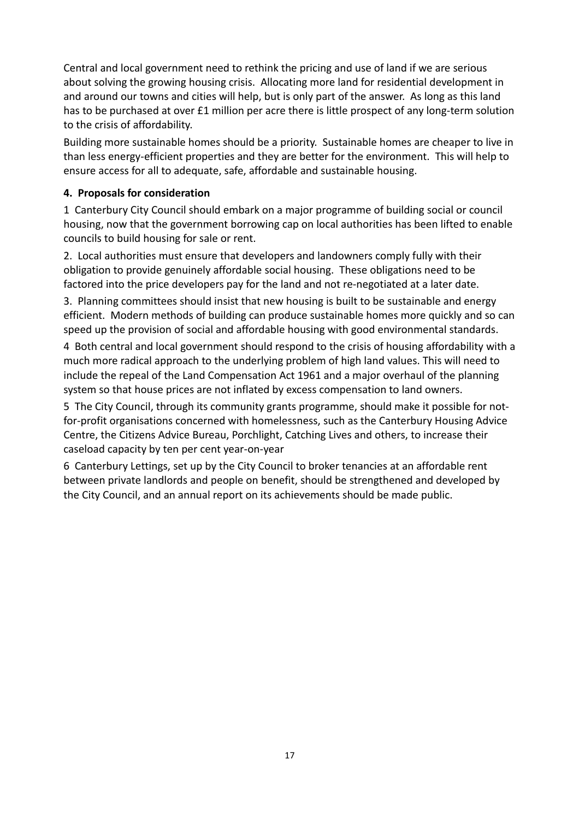Central and local government need to rethink the pricing and use of land if we are serious about solving the growing housing crisis. Allocating more land for residential development in and around our towns and cities will help, but is only part of the answer. As long as this land has to be purchased at over £1 million per acre there is little prospect of any long-term solution to the crisis of affordability.

Building more sustainable homes should be a priority. Sustainable homes are cheaper to live in than less energy-efficient properties and they are better for the environment. This will help to ensure access for all to adequate, safe, affordable and sustainable housing.

#### **4. Proposals for consideration**

1 Canterbury City Council should embark on a major programme of building social or council housing, now that the government borrowing cap on local authorities has been lifted to enable councils to build housing for sale or rent.

2. Local authorities must ensure that developers and landowners comply fully with their obligation to provide genuinely affordable social housing. These obligations need to be factored into the price developers pay for the land and not re-negotiated at a later date.

3. Planning committees should insist that new housing is built to be sustainable and energy efficient. Modern methods of building can produce sustainable homes more quickly and so can speed up the provision of social and affordable housing with good environmental standards.

4 Both central and local government should respond to the crisis of housing affordability with a much more radical approach to the underlying problem of high land values. This will need to include the repeal of the Land Compensation Act 1961 and a major overhaul of the planning system so that house prices are not inflated by excess compensation to land owners.

5 The City Council, through its community grants programme, should make it possible for notfor-profit organisations concerned with homelessness, such as the Canterbury Housing Advice Centre, the Citizens Advice Bureau, Porchlight, Catching Lives and others, to increase their caseload capacity by ten per cent year-on-year

6 Canterbury Lettings, set up by the City Council to broker tenancies at an affordable rent between private landlords and people on benefit, should be strengthened and developed by the City Council, and an annual report on its achievements should be made public.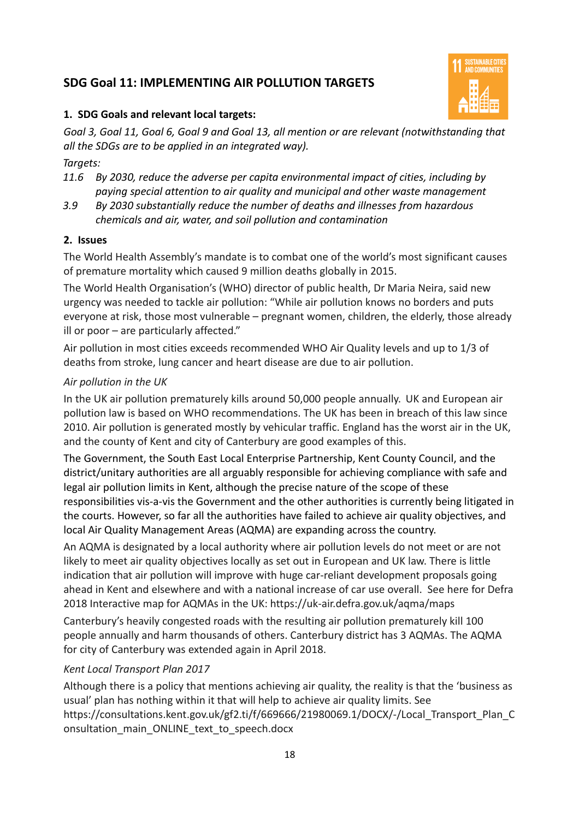### **SDG Goal 11: IMPLEMENTING AIR POLLUTION TARGETS**



#### **1. SDG Goals and relevant local targets:**

*Goal 3, Goal 11, Goal 6, Goal 9 and Goal 13, all mention or are relevant (notwithstanding that all the SDGs are to be applied in an integrated way).*

#### *Targets:*

- *11.6 By 2030, reduce the adverse per capita environmental impact of cities, including by paying special attention to air quality and municipal and other waste management*
- *3.9 By 2030 substantially reduce the number of deaths and illnesses from hazardous chemicals and air, water, and soil pollution and contamination*

#### **2. Issues**

The World Health Assembly's mandate is to combat one of the world's most significant causes of premature mortality which caused 9 million deaths globally in 2015.

The World Health Organisation's (WHO) director of public health, Dr Maria Neira, said new urgency was needed to tackle air pollution: "While air pollution knows no borders and puts everyone at risk, those most vulnerable – pregnant women, children, the elderly, those already ill or poor – are particularly affected."

Air pollution in most cities exceeds recommended WHO Air Quality levels and up to 1/3 of deaths from stroke, lung cancer and heart disease are due to air pollution.

#### *Air pollution in the UK*

In the UK air pollution prematurely kills around 50,000 people annually. UK and European air pollution law is based on WHO recommendations. The UK has been in breach of this law since 2010. Air pollution is generated mostly by vehicular traffic. England has the worst air in the UK, and the county of Kent and city of Canterbury are good examples of this.

The Government, the South East Local Enterprise Partnership, Kent County Council, and the district/unitary authorities are all arguably responsible for achieving compliance with safe and legal air pollution limits in Kent, although the precise nature of the scope of these responsibilities vis-a-vis the Government and the other authorities is currently being litigated in the courts. However, so far all the authorities have failed to achieve air quality objectives, and local Air Quality Management Areas (AQMA) are expanding across the country.

An AQMA is designated by a local authority where air pollution levels do not meet or are not likely to meet air quality objectives locally as set out in European and UK law. There is little indication that air pollution will improve with huge car-reliant development proposals going ahead in Kent and elsewhere and with a national increase of car use overall. See here for Defra 2018 Interactive map for AQMAs in the UK: https://uk-air.defra.gov.uk/aqma/maps

Canterbury's heavily congested roads with the resulting air pollution prematurely kill 100 people annually and harm thousands of others. Canterbury district has 3 AQMAs. The AQMA for city of Canterbury was extended again in April 2018.

#### *Kent Local Transport Plan 2017*

Although there is a policy that mentions achieving air quality, the reality is that the 'business as usual' plan has nothing within it that will help to achieve air quality limits. See https://consultations.kent.gov.uk/gf2.ti/f/669666/21980069.1/DOCX/-/Local\_Transport\_Plan\_C onsultation\_main\_ONLINE\_text\_to\_speech.docx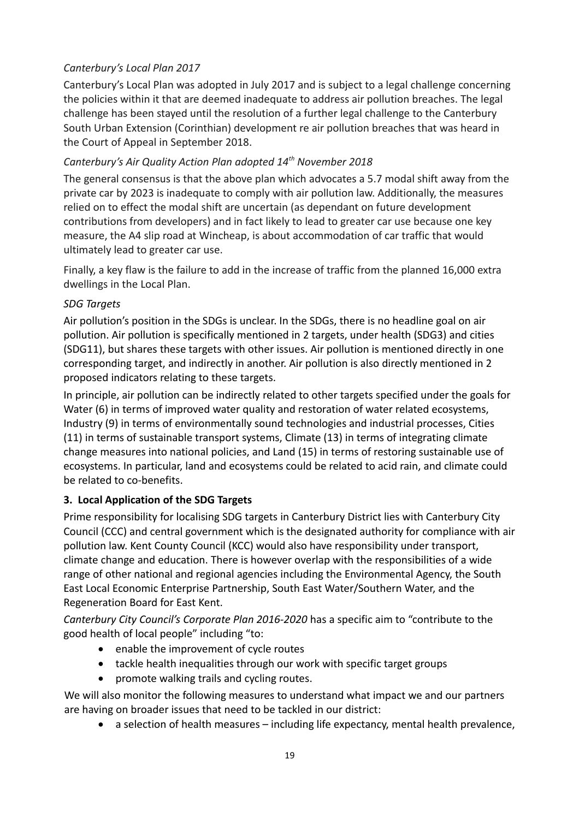#### *Canterbury's Local Plan 2017*

Canterbury's Local Plan was adopted in July 2017 and is subject to a legal challenge concerning the policies within it that are deemed inadequate to address air pollution breaches. The legal challenge has been stayed until the resolution of a further legal challenge to the Canterbury South Urban Extension (Corinthian) development re air pollution breaches that was heard in the Court of Appeal in September 2018.

#### *Canterbury's Air Quality Action Plan adopted 14th November 2018*

The general consensus is that the above plan which advocates a 5.7 modal shift away from the private car by 2023 is inadequate to comply with air pollution law. Additionally, the measures relied on to effect the modal shift are uncertain (as dependant on future development contributions from developers) and in fact likely to lead to greater car use because one key measure, the A4 slip road at Wincheap, is about accommodation of car traffic that would ultimately lead to greater car use.

Finally, a key flaw is the failure to add in the increase of traffic from the planned 16,000 extra dwellings in the Local Plan.

#### *SDG Targets*

Air pollution's position in the SDGs is unclear. In the SDGs, there is no headline goal on air pollution. Air pollution is specifically mentioned in 2 targets, under health (SDG3) and cities (SDG11), but shares these targets with other issues. Air pollution is mentioned directly in one corresponding target, and indirectly in another. Air pollution is also directly mentioned in 2 proposed indicators relating to these targets.

In principle, air pollution can be indirectly related to other targets specified under the goals for Water (6) in terms of improved water quality and restoration of water related ecosystems, Industry (9) in terms of environmentally sound technologies and industrial processes, Cities (11) in terms of sustainable transport systems, Climate (13) in terms of integrating climate change measures into national policies, and Land (15) in terms of restoring sustainable use of ecosystems. In particular, land and ecosystems could be related to acid rain, and climate could be related to co-benefits.

#### **3. Local Application of the SDG Targets**

Prime responsibility for localising SDG targets in Canterbury District lies with Canterbury City Council (CCC) and central government which is the designated authority for compliance with air pollution law. Kent County Council (KCC) would also have responsibility under transport, climate change and education. There is however overlap with the responsibilities of a wide range of other national and regional agencies including the Environmental Agency, the South East Local Economic Enterprise Partnership, South East Water/Southern Water, and the Regeneration Board for East Kent.

*Canterbury City Council's Corporate Plan 2016-2020* has a specific aim to "contribute to the good health of local people" including "to:

- enable the improvement of cycle routes
- tackle health inequalities through our work with specific target groups
- promote walking trails and cycling routes.

We will also monitor the following measures to understand what impact we and our partners are having on broader issues that need to be tackled in our district:

a selection of health measures – including life expectancy, mental health prevalence,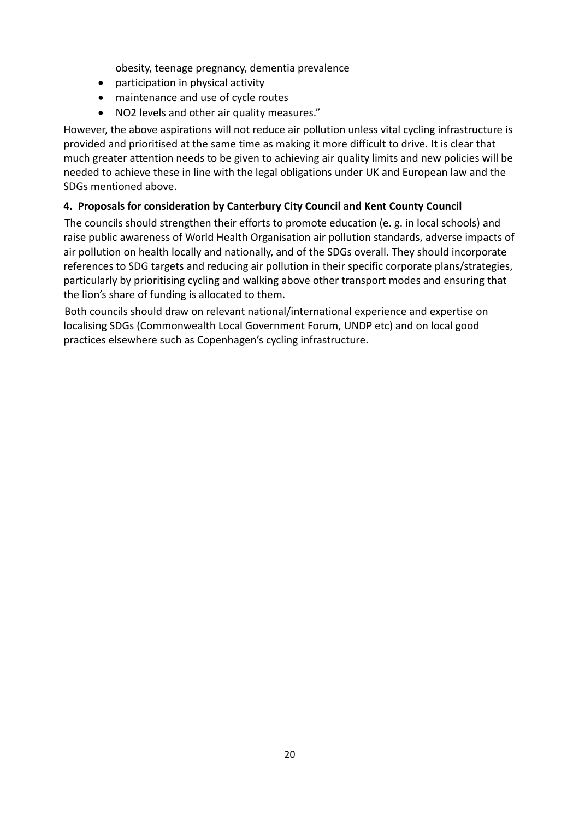obesity, teenage pregnancy, dementia prevalence

- participation in physical activity
- maintenance and use of cycle routes
- NO2 levels and other air quality measures."

However, the above aspirations will not reduce air pollution unless vital cycling infrastructure is provided and prioritised at the same time as making it more difficult to drive. It is clear that much greater attention needs to be given to achieving air quality limits and new policies will be needed to achieve these in line with the legal obligations under UK and European law and the SDGs mentioned above.

#### **4. Proposals for consideration by Canterbury City Council and Kent County Council**

The councils should strengthen their efforts to promote education (e. g. in local schools) and raise public awareness of World Health Organisation air pollution standards, adverse impacts of air pollution on health locally and nationally, and of the SDGs overall. They should incorporate references to SDG targets and reducing air pollution in their specific corporate plans/strategies, particularly by prioritising cycling and walking above other transport modes and ensuring that the lion's share of funding is allocated to them.

Both councils should draw on relevant national/international experience and expertise on localising SDGs (Commonwealth Local Government Forum, UNDP etc) and on local good practices elsewhere such as Copenhagen's cycling infrastructure.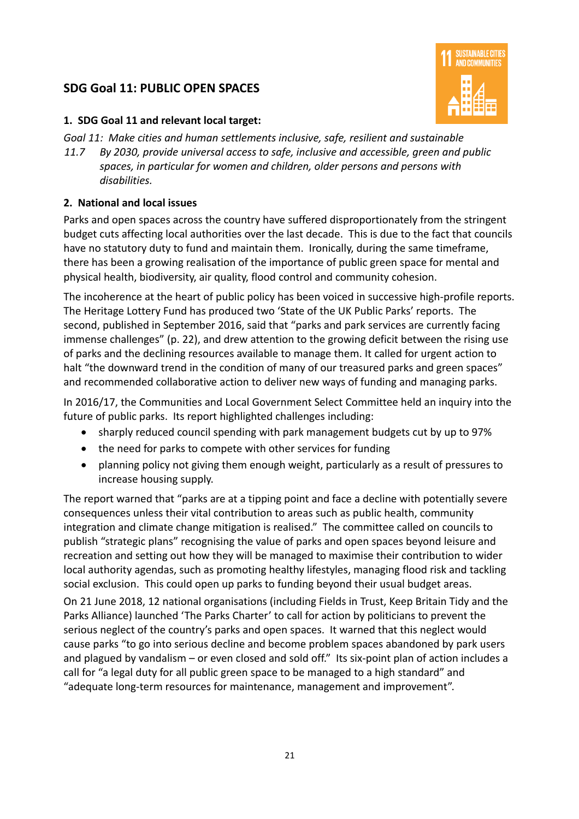# **SDG Goal 11: PUBLIC OPEN SPACES**



#### **1. SDG Goal 11 and relevant local target:**

- *Goal 11: Make cities and human settlements inclusive, safe, resilient and sustainable*
- *11.7 By 2030, provide universal access to safe, inclusive and accessible, green and public spaces, in particular for women and children, older persons and persons with disabilities.*

#### **2. National and local issues**

Parks and open spaces across the country have suffered disproportionately from the stringent budget cuts affecting local authorities over the last decade. This is due to the fact that councils have no statutory duty to fund and maintain them. Ironically, during the same timeframe, there has been a growing realisation of the importance of public green space for mental and physical health, biodiversity, air quality, flood control and community cohesion.

The incoherence at the heart of public policy has been voiced in successive high-profile reports. The Heritage Lottery Fund has produced two 'State of the UK Public Parks' reports. The second, published in September 2016, said that "parks and park services are currently facing immense challenges" (p. 22), and drew attention to the growing deficit between the rising use of parks and the declining resources available to manage them. It called for urgent action to halt "the downward trend in the condition of many of our treasured parks and green spaces" and recommended collaborative action to deliver new ways of funding and managing parks.

In 2016/17, the Communities and Local Government Select Committee held an inquiry into the future of public parks. Its report highlighted challenges including:

- sharply reduced council spending with park management budgets cut by up to 97%
- the need for parks to compete with other services for funding
- planning policy not giving them enough weight, particularly as a result of pressures to increase housing supply.

The report warned that "parks are at a tipping point and face a decline with potentially severe consequences unless their vital contribution to areas such as public health, community integration and climate change mitigation is realised." The committee called on councils to publish "strategic plans" recognising the value of parks and open spaces beyond leisure and recreation and setting out how they will be managed to maximise their contribution to wider local authority agendas, such as promoting healthy lifestyles, managing flood risk and tackling social exclusion. This could open up parks to funding beyond their usual budget areas.

On 21 June 2018, 12 national organisations (including Fields in Trust, Keep Britain Tidy and the Parks Alliance) launched 'The Parks Charter' to call for action by politicians to prevent the serious neglect of the country's parks and open spaces. It warned that this neglect would cause parks "to go into serious decline and become problem spaces abandoned by park users and plagued by vandalism – or even closed and sold off." Its six-point plan of action includes a call for "a legal duty for all public green space to be managed to a high standard" and "adequate long-term resources for maintenance, management and improvement".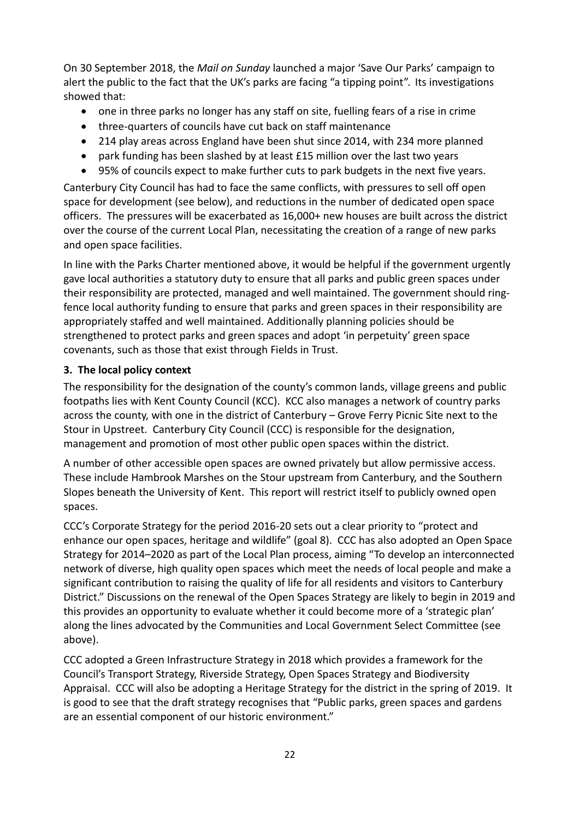On 30 September 2018, the *Mail on Sunday* launched a major 'Save Our Parks' campaign to alert the public to the fact that the UK's parks are facing "a tipping point". Its investigations showed that:

- one in three parks no longer has any staff on site, fuelling fears of a rise in crime
- three-quarters of councils have cut back on staff maintenance
- 214 play areas across England have been shut since 2014, with 234 more planned
- park funding has been slashed by at least £15 million over the last two years
- 95% of councils expect to make further cuts to park budgets in the next five years.

Canterbury City Council has had to face the same conflicts, with pressures to sell off open space for development (see below), and reductions in the number of dedicated open space officers. The pressures will be exacerbated as 16,000+ new houses are built across the district over the course of the current Local Plan, necessitating the creation of a range of new parks and open space facilities.

In line with the Parks Charter mentioned above, it would be helpful if the government urgently gave local authorities a statutory duty to ensure that all parks and public green spaces under their responsibility are protected, managed and well maintained. The government should ringfence local authority funding to ensure that parks and green spaces in their responsibility are appropriately staffed and well maintained. Additionally planning policies should be strengthened to protect parks and green spaces and adopt 'in perpetuity' green space covenants, such as those that exist through Fields in Trust.

#### **3. The local policy context**

The responsibility for the designation of the county's common lands, village greens and public footpaths lies with Kent County Council (KCC). KCC also manages a network of country parks across the county, with one in the district of Canterbury – Grove Ferry Picnic Site next to the Stour in Upstreet. Canterbury City Council (CCC) is responsible for the designation, management and promotion of most other public open spaces within the district.

A number of other accessible open spaces are owned privately but allow permissive access. These include Hambrook Marshes on the Stour upstream from Canterbury, and the Southern Slopes beneath the University of Kent. This report will restrict itself to publicly owned open spaces.

CCC's Corporate Strategy for the period 2016-20 sets out a clear priority to "protect and enhance our open spaces, heritage and wildlife" (goal 8). CCC has also adopted an Open Space Strategy for 2014–2020 as part of the Local Plan process, aiming "To develop an interconnected network of diverse, high quality open spaces which meet the needs of local people and make a significant contribution to raising the quality of life for all residents and visitors to Canterbury District." Discussions on the renewal of the Open Spaces Strategy are likely to begin in 2019 and this provides an opportunity to evaluate whether it could become more of a 'strategic plan' along the lines advocated by the Communities and Local Government Select Committee (see above).

CCC adopted a Green Infrastructure Strategy in 2018 which provides a framework for the Council's Transport Strategy, Riverside Strategy, Open Spaces Strategy and Biodiversity Appraisal. CCC will also be adopting a Heritage Strategy for the district in the spring of 2019. It is good to see that the draft strategy recognises that "Public parks, green spaces and gardens are an essential component of our historic environment."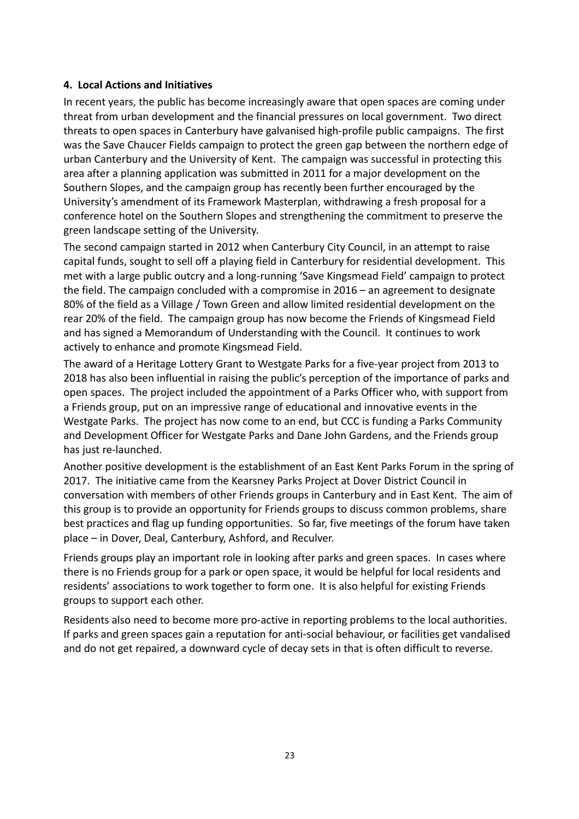#### **4. Local Actions and Initiatives**

In recent years, the public has become increasingly aware that open spaces are coming under threat from urban development and the financial pressures on local government. Two direct threats to open spaces in Canterbury have galvanised high-profile public campaigns. The first was the Save Chaucer Fields campaign to protect the green gap between the northern edge of urban Canterbury and the University of Kent. The campaign was successful in protecting this area after a planning application was submitted in 2011 for a major development on the Southern Slopes, and the campaign group has recently been further encouraged by the University's amendment of its Framework Masterplan, withdrawing a fresh proposal for a conference hotel on the Southern Slopes and strengthening the commitment to preserve the green landscape setting of the University.

The second campaign started in 2012 when Canterbury City Council, in an attempt to raise capital funds, sought to sell off a playing field in Canterbury for residential development. This met with a large public outcry and a long-running 'Save Kingsmead Field' campaign to protect the field. The campaign concluded with a compromise in 2016 – an agreement to designate 80% of the field as a Village / Town Green and allow limited residential development on the rear 20% of the field. The campaign group has now become the Friends of Kingsmead Field and has signed a Memorandum of Understanding with the Council. It continues to work actively to enhance and promote Kingsmead Field.

The award of a Heritage Lottery Grant to Westgate Parks for a five-year project from 2013 to 2018 has also been influential in raising the public's perception of the importance of parks and open spaces. The project included the appointment of a Parks Officer who, with support from a Friends group, put on an impressive range of educational and innovative events in the Westgate Parks. The project has now come to an end, but CCC is funding a Parks Community and Development Officer for Westgate Parks and Dane John Gardens, and the Friends group has just re-launched.

Another positive development is the establishment of an East Kent Parks Forum in the spring of 2017. The initiative came from the Kearsney Parks Project at Dover District Council in conversation with members of other Friends groups in Canterbury and in East Kent. The aim of this group is to provide an opportunity for Friends groups to discuss common problems, share best practices and flag up funding opportunities. So far, five meetings of the forum have taken place – in Dover, Deal, Canterbury, Ashford, and Reculver.

Friends groups play an important role in looking after parks and green spaces. In cases where there is no Friends group for a park or open space, it would be helpful for local residents and residents' associations to work together to form one. It is also helpful for existing Friends groups to support each other.

Residents also need to become more pro-active in reporting problems to the local authorities. If parks and green spaces gain a reputation for anti-social behaviour, or facilities get vandalised and do not get repaired, a downward cycle of decay sets in that is often difficult to reverse.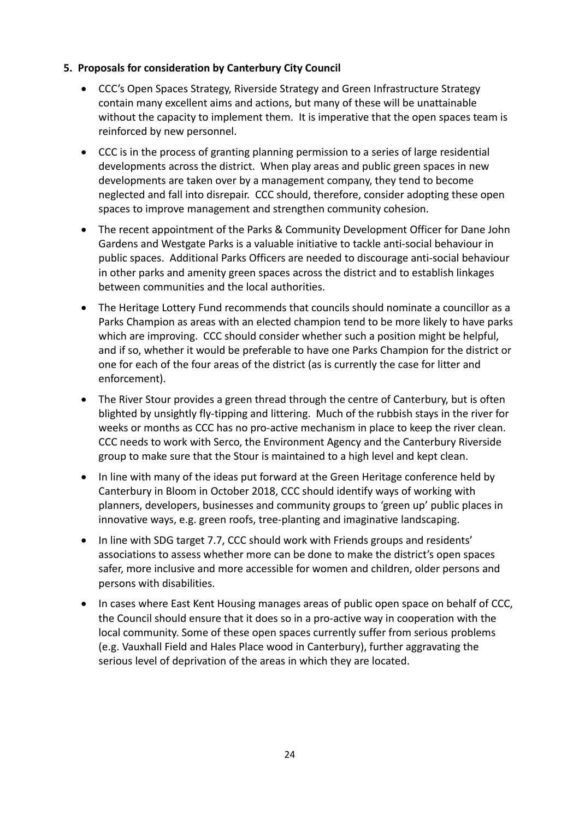#### **5. Proposals for consideration by Canterbury City Council**

- CCC's Open Spaces Strategy, Riverside Strategy and Green Infrastructure Strategy contain many excellent aims and actions, but many of these will be unattainable without the capacity to implement them. It is imperative that the open spaces team is reinforced by new personnel.
- CCC is in the process of granting planning permission to a series of large residential developments across the district. When play areas and public green spaces in new developments are taken over by a management company, they tend to become neglected and fall into disrepair. CCC should, therefore, consider adopting these open spaces to improve management and strengthen community cohesion.
- The recent appointment of the Parks & Community Development Officer for Dane John Gardens and Westgate Parks is a valuable initiative to tackle anti-social behaviour in public spaces. Additional Parks Officers are needed to discourage anti-social behaviour in other parks and amenity green spaces across the district and to establish linkages between communities and the local authorities.
- The Heritage Lottery Fund recommends that councils should nominate a councillor as a Parks Champion as areas with an elected champion tend to be more likely to have parks which are improving. CCC should consider whether such a position might be helpful, and if so, whether it would be preferable to have one Parks Champion for the district or one for each of the four areas of the district (as is currently the case for litter and enforcement).
- The River Stour provides a green thread through the centre of Canterbury, but is often blighted by unsightly fly-tipping and littering. Much of the rubbish stays in the river for weeks or months as CCC has no pro-active mechanism in place to keep the river clean. CCC needs to work with Serco, the Environment Agency and the Canterbury Riverside group to make sure that the Stour is maintained to a high level and kept clean.
- In line with many of the ideas put forward at the Green Heritage conference held by Canterbury in Bloom in October 2018, CCC should identify ways of working with planners, developers, businesses and community groups to 'green up' public places in innovative ways, e.g. green roofs, tree-planting and imaginative landscaping.
- In line with SDG target 7.7, CCC should work with Friends groups and residents' associations to assess whether more can be done to make the district's open spaces safer, more inclusive and more accessible for women and children, older persons and persons with disabilities.
- In cases where East Kent Housing manages areas of public open space on behalf of CCC, the Council should ensure that it does so in a pro-active way in cooperation with the local community. Some of these open spaces currently suffer from serious problems (e.g. Vauxhall Field and Hales Place wood in Canterbury), further aggravating the serious level of deprivation of the areas in which they are located.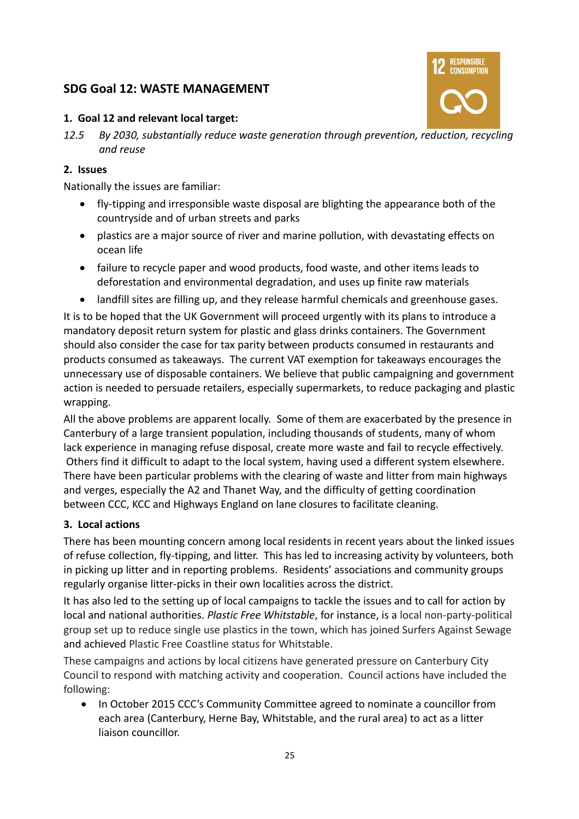## **SDG Goal 12: WASTE MANAGEMENT**



#### **1. Goal 12 and relevant local target:**

*12.5 By 2030, substantially reduce waste generation through prevention, reduction, recycling and reuse*

#### **2. Issues**

Nationally the issues are familiar:

- fly-tipping and irresponsible waste disposal are blighting the appearance both of the countryside and of urban streets and parks
- plastics are a major source of river and marine pollution, with devastating effects on ocean life
- failure to recycle paper and wood products, food waste, and other items leads to deforestation and environmental degradation, and uses up finite raw materials
- landfill sites are filling up, and they release harmful chemicals and greenhouse gases.

It is to be hoped that the UK Government will proceed urgently with its plans to introduce a mandatory deposit return system for plastic and glass drinks containers. The Government should also consider the case for tax parity between products consumed in restaurants and products consumed as takeaways. The current VAT exemption for takeaways encourages the unnecessary use of disposable containers. We believe that public campaigning and government action is needed to persuade retailers, especially supermarkets, to reduce packaging and plastic wrapping.

All the above problems are apparent locally. Some of them are exacerbated by the presence in Canterbury of a large transient population, including thousands of students, many of whom lack experience in managing refuse disposal, create more waste and fail to recycle effectively. Others find it difficult to adapt to the local system, having used a different system elsewhere. There have been particular problems with the clearing of waste and litter from main highways and verges, especially the A2 and Thanet Way, and the difficulty of getting coordination between CCC, KCC and Highways England on lane closures to facilitate cleaning.

#### **3. Local actions**

There has been mounting concern among local residents in recent years about the linked issues of refuse collection, fly-tipping, and litter. This has led to increasing activity by volunteers, both in picking up litter and in reporting problems. Residents' associations and community groups regularly organise litter-picks in their own localities across the district.

It has also led to the setting up of local campaigns to tackle the issues and to call for action by local and national authorities. *Plastic Free Whitstable*, for instance, is a local non-party-political group set up to reduce single use plastics in the town, which has joined Surfers Against Sewage and achieved Plastic Free Coastline status for Whitstable.

These campaigns and actions by local citizens have generated pressure on Canterbury City Council to respond with matching activity and cooperation. Council actions have included the following:

• In October 2015 CCC's Community Committee agreed to nominate a councillor from each area (Canterbury, Herne Bay, Whitstable, and the rural area) to act as a litter liaison councillor.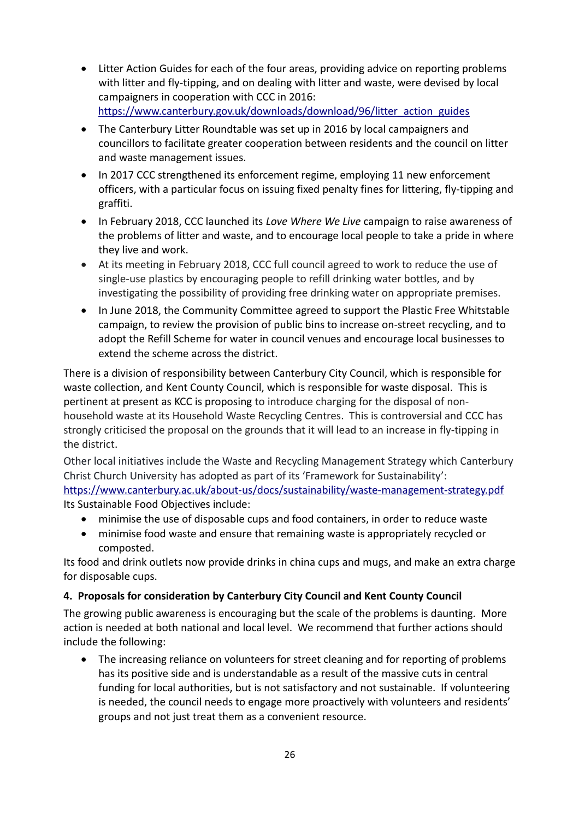- Litter Action Guides for each of the four areas, providing advice on reporting problems with litter and fly-tipping, and on dealing with litter and waste, were devised by local campaigners in cooperation with CCC in 2016: [https://www.canterbury.gov.uk/downloads/download/96/litter\\_action\\_guides](https://www.canterbury.gov.uk/downloads/download/96/litter_action_guides)
- The Canterbury Litter Roundtable was set up in 2016 by local campaigners and councillors to facilitate greater cooperation between residents and the council on litter and waste management issues.
- In 2017 CCC strengthened its enforcement regime, employing 11 new enforcement officers, with a particular focus on issuing fixed penalty fines for littering, fly-tipping and graffiti.
- In February 2018, CCC launched its *Love Where We Live* campaign to raise awareness of the problems of litter and waste, and to encourage local people to take a pride in where they live and work.
- At its meeting in February 2018, CCC full council agreed to work to reduce the use of single-use plastics by encouraging people to refill drinking water bottles, and by investigating the possibility of providing free drinking water on appropriate premises.
- In June 2018, the Community Committee agreed to support the Plastic Free Whitstable campaign, to review the provision of public bins to increase on-street recycling, and to adopt the Refill Scheme for water in council venues and encourage local businesses to extend the scheme across the district.

There is a division of responsibility between Canterbury City Council, which is responsible for waste collection, and Kent County Council, which is responsible for waste disposal. This is pertinent at present as KCC is proposing to introduce charging for the disposal of nonhousehold waste at its Household Waste Recycling Centres. This is controversial and CCC has strongly criticised the proposal on the grounds that it will lead to an increase in fly-tipping in the district.

Other local initiatives include the Waste and Recycling Management Strategy which Canterbury Christ Church University has adopted as part of its 'Framework for Sustainability': <https://www.canterbury.ac.uk/about-us/docs/sustainability/waste-management-strategy.pdf> Its Sustainable Food Objectives include:

- minimise the use of disposable cups and food containers, in order to reduce waste
- minimise food waste and ensure that remaining waste is appropriately recycled or composted.

Its food and drink outlets now provide drinks in china cups and mugs, and make an extra charge for disposable cups.

#### **4. Proposals for consideration by Canterbury City Council and Kent County Council**

The growing public awareness is encouraging but the scale of the problems is daunting. More action is needed at both national and local level. We recommend that further actions should include the following:

• The increasing reliance on volunteers for street cleaning and for reporting of problems has its positive side and is understandable as a result of the massive cuts in central funding for local authorities, but is not satisfactory and not sustainable. If volunteering is needed, the council needs to engage more proactively with volunteers and residents' groups and not just treat them as a convenient resource.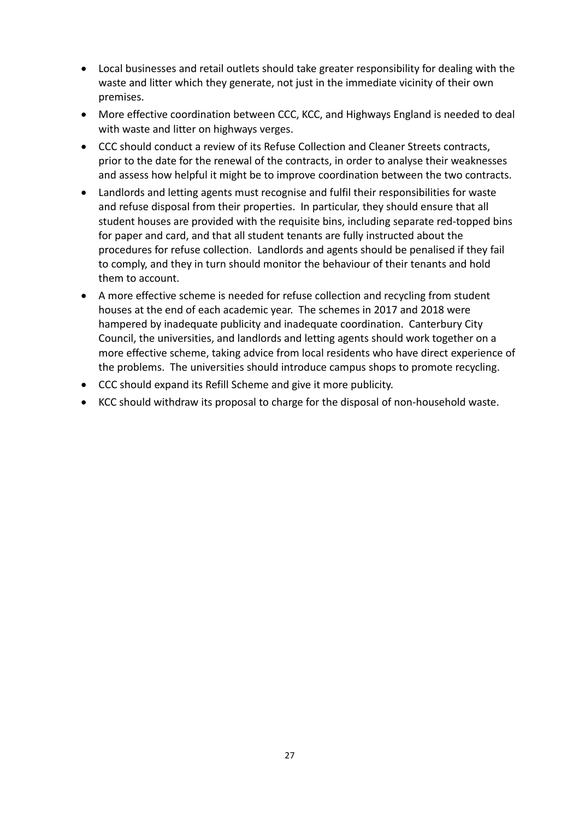- Local businesses and retail outlets should take greater responsibility for dealing with the waste and litter which they generate, not just in the immediate vicinity of their own premises.
- More effective coordination between CCC, KCC, and Highways England is needed to deal with waste and litter on highways verges.
- CCC should conduct a review of its Refuse Collection and Cleaner Streets contracts, prior to the date for the renewal of the contracts, in order to analyse their weaknesses and assess how helpful it might be to improve coordination between the two contracts.
- Landlords and letting agents must recognise and fulfil their responsibilities for waste and refuse disposal from their properties. In particular, they should ensure that all student houses are provided with the requisite bins, including separate red-topped bins for paper and card, and that all student tenants are fully instructed about the procedures for refuse collection. Landlords and agents should be penalised if they fail to comply, and they in turn should monitor the behaviour of their tenants and hold them to account.
- A more effective scheme is needed for refuse collection and recycling from student houses at the end of each academic year. The schemes in 2017 and 2018 were hampered by inadequate publicity and inadequate coordination. Canterbury City Council, the universities, and landlords and letting agents should work together on a more effective scheme, taking advice from local residents who have direct experience of the problems. The universities should introduce campus shops to promote recycling.
- CCC should expand its Refill Scheme and give it more publicity.
- KCC should withdraw its proposal to charge for the disposal of non-household waste.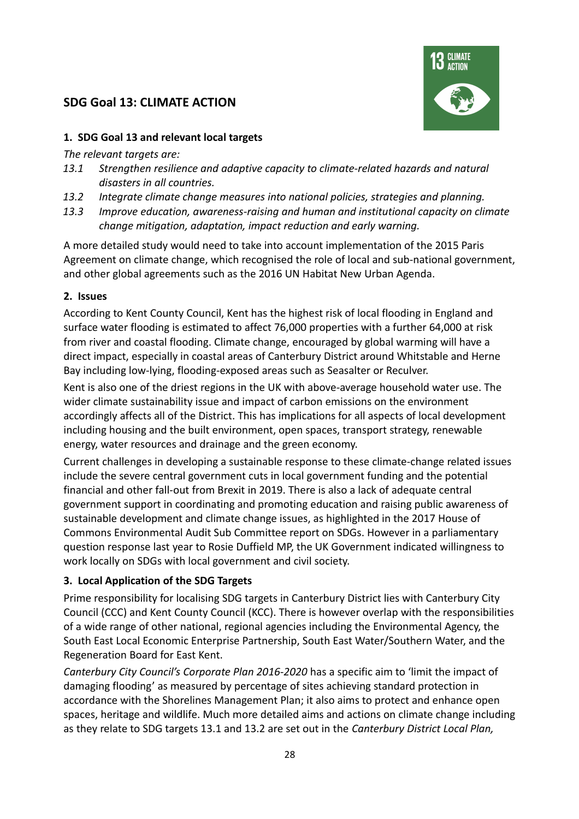### **SDG Goal 13: CLIMATE ACTION**



#### **1. SDG Goal 13 and relevant local targets**

*The relevant targets are:*

- *13.1 Strengthen resilience and adaptive capacity to climate-related hazards and natural disasters in all countries.*
- *13.2 Integrate climate change measures into national policies, strategies and planning.*
- *13.3 Improve education, awareness-raising and human and institutional capacity on climate change mitigation, adaptation, impact reduction and early warning.*

A more detailed study would need to take into account implementation of the 2015 Paris Agreement on climate change, which recognised the role of local and sub-national government, and other global agreements such as the 2016 UN Habitat New Urban Agenda.

#### **2. Issues**

According to Kent County Council, Kent has the highest risk of local flooding in England and surface water flooding is estimated to affect 76,000 properties with a further 64,000 at risk from river and coastal flooding. Climate change, encouraged by global warming will have a direct impact, especially in coastal areas of Canterbury District around Whitstable and Herne Bay including low-lying, flooding-exposed areas such as Seasalter or Reculver.

Kent is also one of the driest regions in the UK with above-average household water use. The wider climate sustainability issue and impact of carbon emissions on the environment accordingly affects all of the District. This has implications for all aspects of local development including housing and the built environment, open spaces, transport strategy, renewable energy, water resources and drainage and the green economy.

Current challenges in developing a sustainable response to these climate-change related issues include the severe central government cuts in local government funding and the potential financial and other fall-out from Brexit in 2019. There is also a lack of adequate central government support in coordinating and promoting education and raising public awareness of sustainable development and climate change issues, as highlighted in the 2017 House of Commons Environmental Audit Sub Committee report on SDGs. However in a parliamentary question response last year to Rosie Duffield MP, the UK Government indicated willingness to work locally on SDGs with local government and civil society.

#### **3. Local Application of the SDG Targets**

Prime responsibility for localising SDG targets in Canterbury District lies with Canterbury City Council (CCC) and Kent County Council (KCC). There is however overlap with the responsibilities of a wide range of other national, regional agencies including the Environmental Agency, the South East Local Economic Enterprise Partnership, South East Water/Southern Water, and the Regeneration Board for East Kent.

*Canterbury City Council's Corporate Plan 2016-2020* has a specific aim to 'limit the impact of damaging flooding' as measured by percentage of sites achieving standard protection in accordance with the Shorelines Management Plan; it also aims to protect and enhance open spaces, heritage and wildlife. Much more detailed aims and actions on climate change including as they relate to SDG targets 13.1 and 13.2 are set out in the *Canterbury District Local Plan,*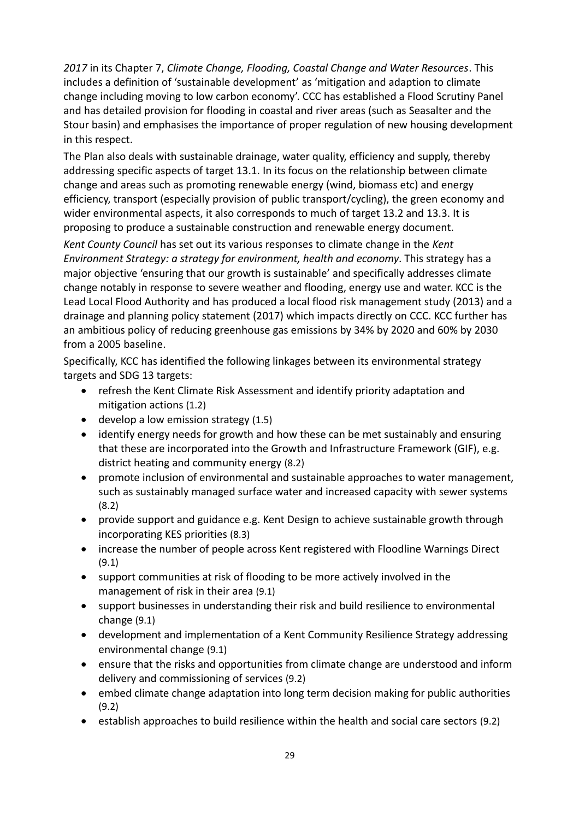*2017* in its Chapter 7, *Climate Change, Flooding, Coastal Change and Water Resources*. This includes a definition of 'sustainable development' as 'mitigation and adaption to climate change including moving to low carbon economy'. CCC has established a Flood Scrutiny Panel and has detailed provision for flooding in coastal and river areas (such as Seasalter and the Stour basin) and emphasises the importance of proper regulation of new housing development in this respect.

The Plan also deals with sustainable drainage, water quality, efficiency and supply, thereby addressing specific aspects of target 13.1. In its focus on the relationship between climate change and areas such as promoting renewable energy (wind, biomass etc) and energy efficiency, transport (especially provision of public transport/cycling), the green economy and wider environmental aspects, it also corresponds to much of target 13.2 and 13.3. It is proposing to produce a sustainable construction and renewable energy document.

*Kent County Council* has set out its various responses to climate change in the *Kent Environment Strategy: a strategy for environment, health and economy*. This strategy has a major objective 'ensuring that our growth is sustainable' and specifically addresses climate change notably in response to severe weather and flooding, energy use and water. KCC is the Lead Local Flood Authority and has produced a local flood risk management study (2013) and a drainage and planning policy statement (2017) which impacts directly on CCC. KCC further has an ambitious policy of reducing greenhouse gas emissions by 34% by 2020 and 60% by 2030 from a 2005 baseline.

Specifically, KCC has identified the following linkages between its environmental strategy targets and SDG 13 targets:

- refresh the Kent Climate Risk Assessment and identify priority adaptation and mitigation actions (1.2)
- $\bullet$  develop a low emission strategy (1.5)
- identify energy needs for growth and how these can be met sustainably and ensuring that these are incorporated into the Growth and Infrastructure Framework (GIF), e.g. district heating and community energy (8.2)
- promote inclusion of environmental and sustainable approaches to water management, such as sustainably managed surface water and increased capacity with sewer systems (8.2)
- provide support and guidance e.g. Kent Design to achieve sustainable growth through incorporating KES priorities (8.3)
- increase the number of people across Kent registered with Floodline Warnings Direct (9.1)
- support communities at risk of flooding to be more actively involved in the management of risk in their area (9.1)
- support businesses in understanding their risk and build resilience to environmental change (9.1)
- development and implementation of a Kent Community Resilience Strategy addressing environmental change (9.1)
- ensure that the risks and opportunities from climate change are understood and inform delivery and commissioning of services (9.2)
- embed climate change adaptation into long term decision making for public authorities (9.2)
- establish approaches to build resilience within the health and social care sectors (9.2)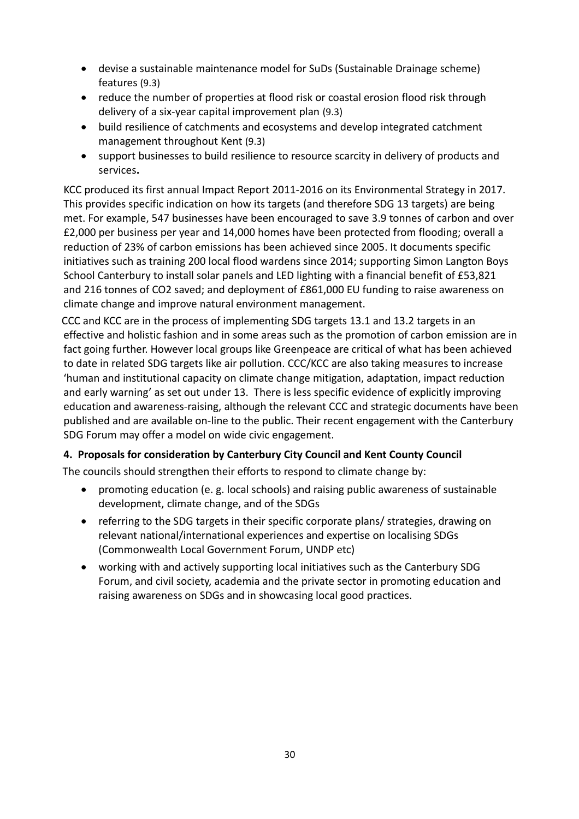- devise a sustainable maintenance model for SuDs (Sustainable Drainage scheme) features (9.3)
- reduce the number of properties at flood risk or coastal erosion flood risk through delivery of a six-year capital improvement plan (9.3)
- build resilience of catchments and ecosystems and develop integrated catchment management throughout Kent (9.3)
- support businesses to build resilience to resource scarcity in delivery of products and services**.**

KCC produced its first annual Impact Report 2011-2016 on its Environmental Strategy in 2017. This provides specific indication on how its targets (and therefore SDG 13 targets) are being met. For example, 547 businesses have been encouraged to save 3.9 tonnes of carbon and over £2,000 per business per year and 14,000 homes have been protected from flooding; overall a reduction of 23% of carbon emissions has been achieved since 2005. It documents specific initiatives such as training 200 local flood wardens since 2014; supporting Simon Langton Boys School Canterbury to install solar panels and LED lighting with a financial benefit of £53,821 and 216 tonnes of CO2 saved; and deployment of £861,000 EU funding to raise awareness on climate change and improve natural environment management.

CCC and KCC are in the process of implementing SDG targets 13.1 and 13.2 targets in an effective and holistic fashion and in some areas such as the promotion of carbon emission are in fact going further. However local groups like Greenpeace are critical of what has been achieved to date in related SDG targets like air pollution. CCC/KCC are also taking measures to increase 'human and institutional capacity on climate change mitigation, adaptation, impact reduction and early warning' as set out under 13. There is less specific evidence of explicitly improving education and awareness-raising, although the relevant CCC and strategic documents have been published and are available on-line to the public. Their recent engagement with the Canterbury SDG Forum may offer a model on wide civic engagement.

#### **4. Proposals for consideration by Canterbury City Council and Kent County Council**

The councils should strengthen their efforts to respond to climate change by:

- promoting education (e. g. local schools) and raising public awareness of sustainable development, climate change, and of the SDGs
- referring to the SDG targets in their specific corporate plans/ strategies, drawing on relevant national/international experiences and expertise on localising SDGs (Commonwealth Local Government Forum, UNDP etc)
- working with and actively supporting local initiatives such as the Canterbury SDG Forum, and civil society, academia and the private sector in promoting education and raising awareness on SDGs and in showcasing local good practices.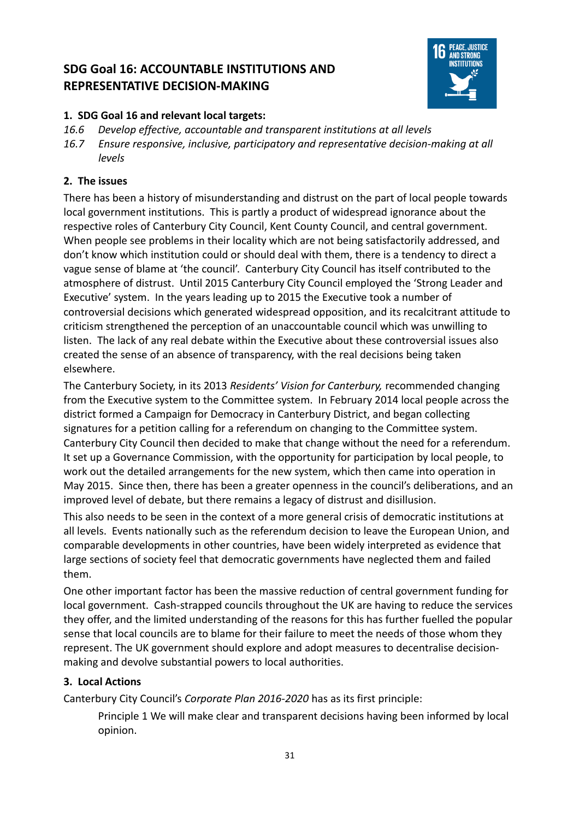# **SDG Goal 16: ACCOUNTABLE INSTITUTIONS AND REPRESENTATIVE DECISION-MAKING**



#### **1. SDG Goal 16 and relevant local targets:**

- *16.6 Develop effective, accountable and transparent institutions at all levels*
- *16.7 Ensure responsive, inclusive, participatory and representative decision-making at all levels*

#### **2. The issues**

There has been a history of misunderstanding and distrust on the part of local people towards local government institutions. This is partly a product of widespread ignorance about the respective roles of Canterbury City Council, Kent County Council, and central government. When people see problems in their locality which are not being satisfactorily addressed, and don't know which institution could or should deal with them, there is a tendency to direct a vague sense of blame at 'the council'. Canterbury City Council has itself contributed to the atmosphere of distrust. Until 2015 Canterbury City Council employed the 'Strong Leader and Executive' system. In the years leading up to 2015 the Executive took a number of controversial decisions which generated widespread opposition, and its recalcitrant attitude to criticism strengthened the perception of an unaccountable council which was unwilling to listen. The lack of any real debate within the Executive about these controversial issues also created the sense of an absence of transparency, with the real decisions being taken elsewhere.

The Canterbury Society, in its 2013 *Residents' Vision for Canterbury,* recommended changing from the Executive system to the Committee system. In February 2014 local people across the district formed a Campaign for Democracy in Canterbury District, and began collecting signatures for a petition calling for a referendum on changing to the Committee system. Canterbury City Council then decided to make that change without the need for a referendum. It set up a Governance Commission, with the opportunity for participation by local people, to work out the detailed arrangements for the new system, which then came into operation in May 2015. Since then, there has been a greater openness in the council's deliberations, and an improved level of debate, but there remains a legacy of distrust and disillusion.

This also needs to be seen in the context of a more general crisis of democratic institutions at all levels. Events nationally such as the referendum decision to leave the European Union, and comparable developments in other countries, have been widely interpreted as evidence that large sections of society feel that democratic governments have neglected them and failed them.

One other important factor has been the massive reduction of central government funding for local government. Cash-strapped councils throughout the UK are having to reduce the services they offer, and the limited understanding of the reasons for this has further fuelled the popular sense that local councils are to blame for their failure to meet the needs of those whom they represent. The UK government should explore and adopt measures to decentralise decisionmaking and devolve substantial powers to local authorities.

#### **3. Local Actions**

Canterbury City Council's *Corporate Plan 2016-2020* has as its first principle:

Principle 1 We will make clear and transparent decisions having been informed by local opinion.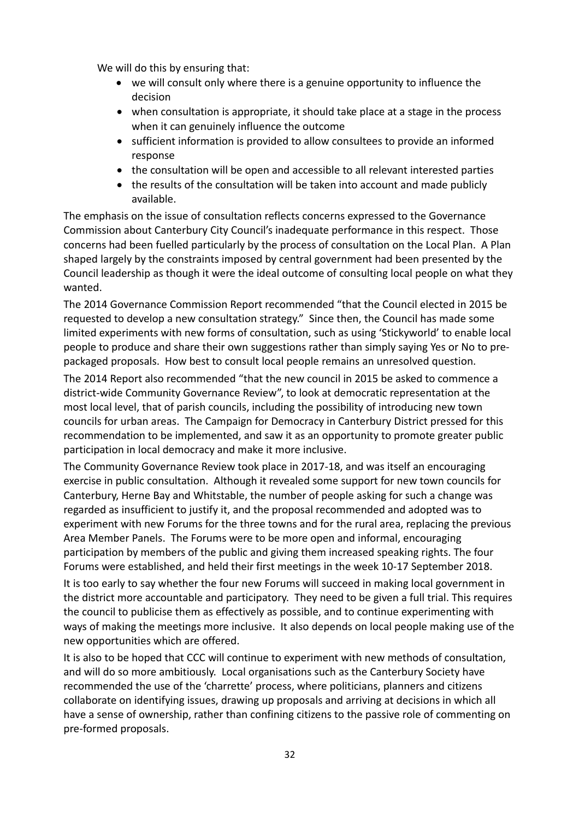We will do this by ensuring that:

- we will consult only where there is a genuine opportunity to influence the decision
- when consultation is appropriate, it should take place at a stage in the process when it can genuinely influence the outcome
- sufficient information is provided to allow consultees to provide an informed response
- the consultation will be open and accessible to all relevant interested parties
- the results of the consultation will be taken into account and made publicly available.

The emphasis on the issue of consultation reflects concerns expressed to the Governance Commission about Canterbury City Council's inadequate performance in this respect. Those concerns had been fuelled particularly by the process of consultation on the Local Plan. A Plan shaped largely by the constraints imposed by central government had been presented by the Council leadership as though it were the ideal outcome of consulting local people on what they wanted.

The 2014 Governance Commission Report recommended "that the Council elected in 2015 be requested to develop a new consultation strategy." Since then, the Council has made some limited experiments with new forms of consultation, such as using 'Stickyworld' to enable local people to produce and share their own suggestions rather than simply saying Yes or No to prepackaged proposals. How best to consult local people remains an unresolved question.

The 2014 Report also recommended "that the new council in 2015 be asked to commence a district-wide Community Governance Review", to look at democratic representation at the most local level, that of parish councils, including the possibility of introducing new town councils for urban areas. The Campaign for Democracy in Canterbury District pressed for this recommendation to be implemented, and saw it as an opportunity to promote greater public participation in local democracy and make it more inclusive.

The Community Governance Review took place in 2017-18, and was itself an encouraging exercise in public consultation. Although it revealed some support for new town councils for Canterbury, Herne Bay and Whitstable, the number of people asking for such a change was regarded as insufficient to justify it, and the proposal recommended and adopted was to experiment with new Forums for the three towns and for the rural area, replacing the previous Area Member Panels. The Forums were to be more open and informal, encouraging participation by members of the public and giving them increased speaking rights. The four Forums were established, and held their first meetings in the week 10-17 September 2018.

It is too early to say whether the four new Forums will succeed in making local government in the district more accountable and participatory. They need to be given a full trial. This requires the council to publicise them as effectively as possible, and to continue experimenting with ways of making the meetings more inclusive. It also depends on local people making use of the new opportunities which are offered.

It is also to be hoped that CCC will continue to experiment with new methods of consultation, and will do so more ambitiously. Local organisations such as the Canterbury Society have recommended the use of the 'charrette' process, where politicians, planners and citizens collaborate on identifying issues, drawing up proposals and arriving at decisions in which all have a sense of ownership, rather than confining citizens to the passive role of commenting on pre-formed proposals.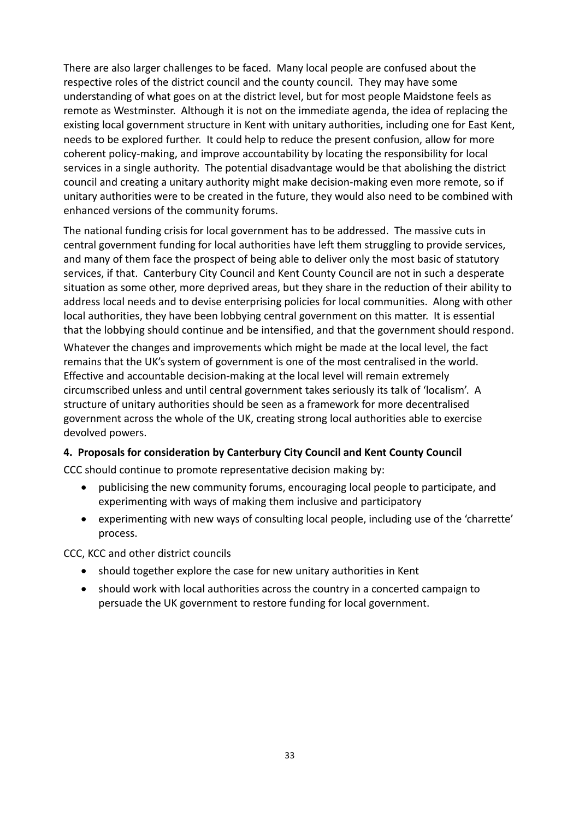There are also larger challenges to be faced. Many local people are confused about the respective roles of the district council and the county council. They may have some understanding of what goes on at the district level, but for most people Maidstone feels as remote as Westminster. Although it is not on the immediate agenda, the idea of replacing the existing local government structure in Kent with unitary authorities, including one for East Kent, needs to be explored further. It could help to reduce the present confusion, allow for more coherent policy-making, and improve accountability by locating the responsibility for local services in a single authority. The potential disadvantage would be that abolishing the district council and creating a unitary authority might make decision-making even more remote, so if unitary authorities were to be created in the future, they would also need to be combined with enhanced versions of the community forums.

The national funding crisis for local government has to be addressed. The massive cuts in central government funding for local authorities have left them struggling to provide services, and many of them face the prospect of being able to deliver only the most basic of statutory services, if that. Canterbury City Council and Kent County Council are not in such a desperate situation as some other, more deprived areas, but they share in the reduction of their ability to address local needs and to devise enterprising policies for local communities. Along with other local authorities, they have been lobbying central government on this matter. It is essential that the lobbying should continue and be intensified, and that the government should respond.

Whatever the changes and improvements which might be made at the local level, the fact remains that the UK's system of government is one of the most centralised in the world. Effective and accountable decision-making at the local level will remain extremely circumscribed unless and until central government takes seriously its talk of 'localism'. A structure of unitary authorities should be seen as a framework for more decentralised government across the whole of the UK, creating strong local authorities able to exercise devolved powers.

#### **4. Proposals for consideration by Canterbury City Council and Kent County Council**

CCC should continue to promote representative decision making by:

- publicising the new community forums, encouraging local people to participate, and experimenting with ways of making them inclusive and participatory
- experimenting with new ways of consulting local people, including use of the 'charrette' process.

CCC, KCC and other district councils

- should together explore the case for new unitary authorities in Kent
- should work with local authorities across the country in a concerted campaign to persuade the UK government to restore funding for local government.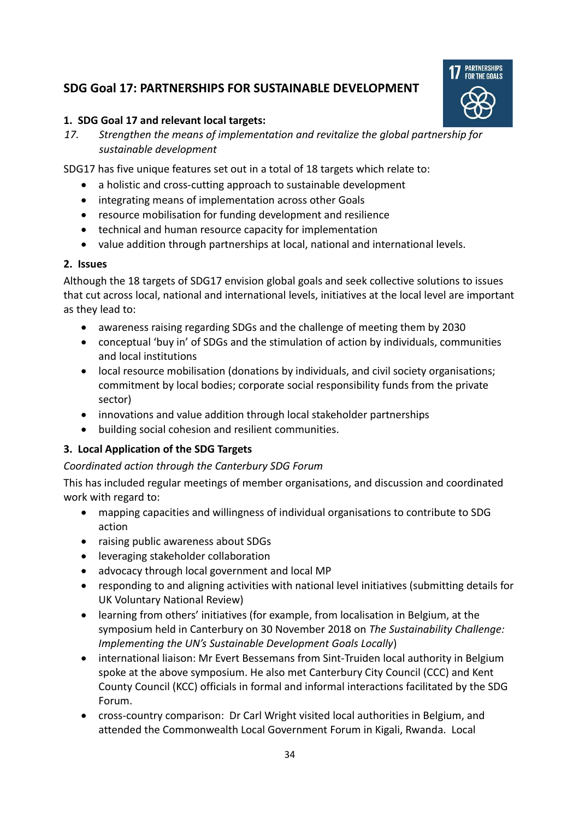# **SDG Goal 17: PARTNERSHIPS FOR SUSTAINABLE DEVELOPMENT**



#### **1. SDG Goal 17 and relevant local targets:**

*17. Strengthen the means of implementation and revitalize the global partnership for sustainable development* 

SDG17 has five unique features set out in a total of 18 targets which relate to:

- a holistic and cross-cutting approach to sustainable development
- integrating means of implementation across other Goals
- resource mobilisation for funding development and resilience
- technical and human resource capacity for implementation
- value addition through partnerships at local, national and international levels.

#### **2. Issues**

Although the 18 targets of SDG17 envision global goals and seek collective solutions to issues that cut across local, national and international levels, initiatives at the local level are important as they lead to:

- awareness raising regarding SDGs and the challenge of meeting them by 2030
- conceptual 'buy in' of SDGs and the stimulation of action by individuals, communities and local institutions
- local resource mobilisation (donations by individuals, and civil society organisations; commitment by local bodies; corporate social responsibility funds from the private sector)
- innovations and value addition through local stakeholder partnerships
- building social cohesion and resilient communities.

## **3. Local Application of the SDG Targets**

#### *Coordinated action through the Canterbury SDG Forum*

This has included regular meetings of member organisations, and discussion and coordinated work with regard to:

- mapping capacities and willingness of individual organisations to contribute to SDG action
- raising public awareness about SDGs
- leveraging stakeholder collaboration
- advocacy through local government and local MP
- responding to and aligning activities with national level initiatives (submitting details for UK Voluntary National Review)
- learning from others' initiatives (for example, from localisation in Belgium, at the symposium held in Canterbury on 30 November 2018 on *The Sustainability Challenge: Implementing the UN's Sustainable Development Goals Locally*)
- international liaison: Mr Evert Bessemans from Sint-Truiden local authority in Belgium spoke at the above symposium. He also met Canterbury City Council (CCC) and Kent County Council (KCC) officials in formal and informal interactions facilitated by the SDG Forum.
- cross-country comparison: Dr Carl Wright visited local authorities in Belgium, and attended the Commonwealth Local Government Forum in Kigali, Rwanda. Local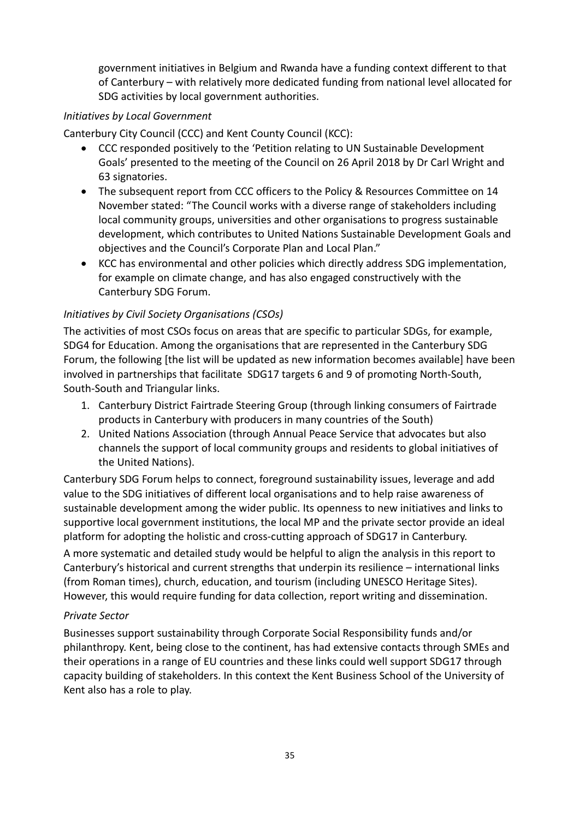government initiatives in Belgium and Rwanda have a funding context different to that of Canterbury – with relatively more dedicated funding from national level allocated for SDG activities by local government authorities.

#### *Initiatives by Local Government*

Canterbury City Council (CCC) and Kent County Council (KCC):

- CCC responded positively to the 'Petition relating to UN Sustainable Development Goals' presented to the meeting of the Council on 26 April 2018 by Dr Carl Wright and 63 signatories.
- The subsequent report from CCC officers to the Policy & Resources Committee on 14 November stated: "The Council works with a diverse range of stakeholders including local community groups, universities and other organisations to progress sustainable development, which contributes to United Nations Sustainable Development Goals and objectives and the Council's Corporate Plan and Local Plan."
- KCC has environmental and other policies which directly address SDG implementation, for example on climate change, and has also engaged constructively with the Canterbury SDG Forum.

#### *Initiatives by Civil Society Organisations (CSOs)*

The activities of most CSOs focus on areas that are specific to particular SDGs, for example, SDG4 for Education. Among the organisations that are represented in the Canterbury SDG Forum, the following [the list will be updated as new information becomes available] have been involved in partnerships that facilitate SDG17 targets 6 and 9 of promoting North-South, South-South and Triangular links.

- 1. Canterbury District Fairtrade Steering Group (through linking consumers of Fairtrade products in Canterbury with producers in many countries of the South)
- 2. United Nations Association (through Annual Peace Service that advocates but also channels the support of local community groups and residents to global initiatives of the United Nations).

Canterbury SDG Forum helps to connect, foreground sustainability issues, leverage and add value to the SDG initiatives of different local organisations and to help raise awareness of sustainable development among the wider public. Its openness to new initiatives and links to supportive local government institutions, the local MP and the private sector provide an ideal platform for adopting the holistic and cross-cutting approach of SDG17 in Canterbury.

A more systematic and detailed study would be helpful to align the analysis in this report to Canterbury's historical and current strengths that underpin its resilience – international links (from Roman times), church, education, and tourism (including UNESCO Heritage Sites). However, this would require funding for data collection, report writing and dissemination.

#### *Private Sector*

Businesses support sustainability through Corporate Social Responsibility funds and/or philanthropy. Kent, being close to the continent, has had extensive contacts through SMEs and their operations in a range of EU countries and these links could well support SDG17 through capacity building of stakeholders. In this context the Kent Business School of the University of Kent also has a role to play.